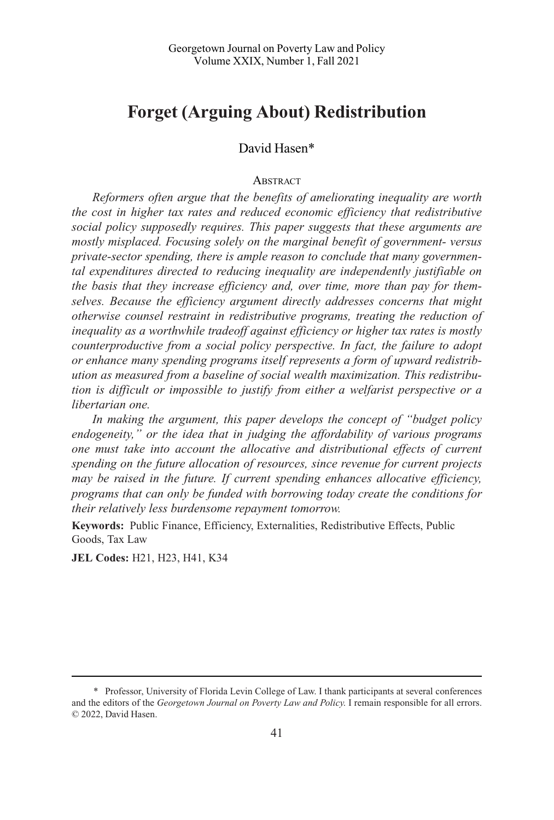# **Forget (Arguing About) Redistribution**

# David Hasen\*

#### **ABSTRACT**

*Reformers often argue that the benefits of ameliorating inequality are worth the cost in higher tax rates and reduced economic efficiency that redistributive social policy supposedly requires. This paper suggests that these arguments are mostly misplaced. Focusing solely on the marginal benefit of government- versus private-sector spending, there is ample reason to conclude that many governmental expenditures directed to reducing inequality are independently justifiable on the basis that they increase efficiency and, over time, more than pay for themselves. Because the efficiency argument directly addresses concerns that might otherwise counsel restraint in redistributive programs, treating the reduction of inequality as a worthwhile tradeoff against efficiency or higher tax rates is mostly counterproductive from a social policy perspective. In fact, the failure to adopt or enhance many spending programs itself represents a form of upward redistribution as measured from a baseline of social wealth maximization. This redistribution is difficult or impossible to justify from either a welfarist perspective or a libertarian one.* 

In making the argument, this paper develops the concept of "budget policy *endogeneity," or the idea that in judging the affordability of various programs one must take into account the allocative and distributional effects of current spending on the future allocation of resources, since revenue for current projects may be raised in the future. If current spending enhances allocative efficiency, programs that can only be funded with borrowing today create the conditions for their relatively less burdensome repayment tomorrow.* 

**Keywords:** Public Finance, Efficiency, Externalities, Redistributive Effects, Public Goods, Tax Law

**JEL Codes:** H21, H23, H41, K34

<sup>\*</sup> Professor, University of Florida Levin College of Law. I thank participants at several conferences and the editors of the *Georgetown Journal on Poverty Law and Policy*. I remain responsible for all errors. © 2022, David Hasen.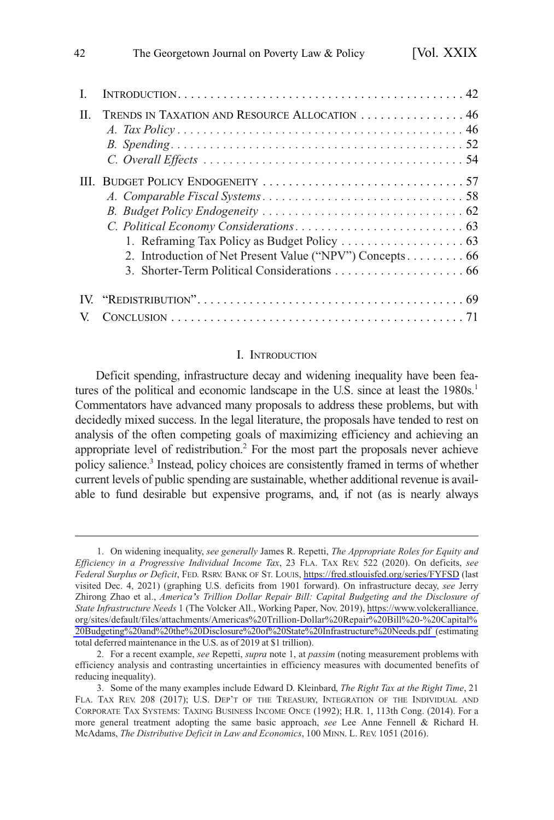| H | TRENDS IN TAXATION AND RESOURCE ALLOCATION  46           |
|---|----------------------------------------------------------|
|   | 2. Introduction of Net Present Value ("NPV") Concepts 66 |
|   |                                                          |

#### I. INTRODUCTION

Deficit spending, infrastructure decay and widening inequality have been features of the political and economic landscape in the U.S. since at least the  $1980s<sup>1</sup>$ Commentators have advanced many proposals to address these problems, but with decidedly mixed success. In the legal literature, the proposals have tended to rest on analysis of the often competing goals of maximizing efficiency and achieving an appropriate level of redistribution.2 For the most part the proposals never achieve policy salience.3 Instead, policy choices are consistently framed in terms of whether current levels of public spending are sustainable, whether additional revenue is available to fund desirable but expensive programs, and, if not (as is nearly always

On widening inequality, *see generally* James R. Repetti, *The Appropriate Roles for Equity and*  1. *Efficiency in a Progressive Individual Income Tax*, 23 FLA. TAX REV. 522 (2020). On deficits, *see Federal Surplus or Deficit*, FED. RSRV. BANK OF ST. LOUIS, <https://fred.stlouisfed.org/series/FYFSD> (last visited Dec. 4, 2021) (graphing U.S. deficits from 1901 forward). On infrastructure decay, *see* Jerry Zhirong Zhao et al., *America's Trillion Dollar Repair Bill: Capital Budgeting and the Disclosure of State Infrastructure Needs* 1 (The Volcker All., Working Paper, Nov. 2019), [https://www.volckeralliance.](https://www.volckeralliance.org/sites/default/files/attachments/Americas%20Trillion-Dollar%20Repair%20Bill%20-%20Capital%20Budgeting%20and%20the%20Disclosure%20of%20State%20Infrastructure%20Needs.pdf) [org/sites/default/files/attachments/Americas](https://www.volckeralliance.org/sites/default/files/attachments/Americas%20Trillion-Dollar%20Repair%20Bill%20-%20Capital%20Budgeting%20and%20the%20Disclosure%20of%20State%20Infrastructure%20Needs.pdf)%20Trillion-Dollar%20Repair%20Bill%20-%20Capital% 20Budgeting%20and%20the%20Disclosure%20of%20State%[20Infrastructure](https://www.volckeralliance.org/sites/default/files/attachments/Americas%20Trillion-Dollar%20Repair%20Bill%20-%20Capital%20Budgeting%20and%20the%20Disclosure%20of%20State%20Infrastructure%20Needs.pdf)%20Needs.pdf (estimating total deferred maintenance in the U.S. as of 2019 at \$1 trillion).

<sup>2.</sup> For a recent example, *see* Repetti, *supra* note 1, at *passim* (noting measurement problems with efficiency analysis and contrasting uncertainties in efficiency measures with documented benefits of reducing inequality).

<sup>3.</sup> Some of the many examples include Edward D. Kleinbard, *The Right Tax at the Right Time*, 21 FLA. TAX REV. 208 (2017); U.S. DEP'T OF THE TREASURY, INTEGRATION OF THE INDIVIDUAL AND CORPORATE TAX SYSTEMS: TAXING BUSINESS INCOME ONCE (1992); H.R. 1, 113th Cong. (2014). For a more general treatment adopting the same basic approach, *see* Lee Anne Fennell & Richard H. McAdams, *The Distributive Deficit in Law and Economics*, 100 MINN. L. REV. 1051 (2016).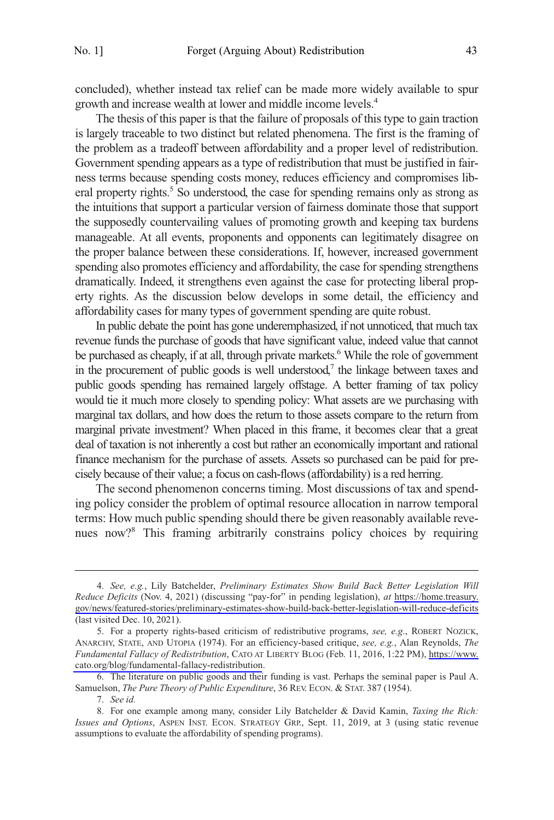concluded), whether instead tax relief can be made more widely available to spur growth and increase wealth at lower and middle income levels.4

The thesis of this paper is that the failure of proposals of this type to gain traction is largely traceable to two distinct but related phenomena. The first is the framing of the problem as a tradeoff between affordability and a proper level of redistribution. Government spending appears as a type of redistribution that must be justified in fairness terms because spending costs money, reduces efficiency and compromises liberal property rights.<sup>5</sup> So understood, the case for spending remains only as strong as the intuitions that support a particular version of fairness dominate those that support the supposedly countervailing values of promoting growth and keeping tax burdens manageable. At all events, proponents and opponents can legitimately disagree on the proper balance between these considerations. If, however, increased government spending also promotes efficiency and affordability, the case for spending strengthens dramatically. Indeed, it strengthens even against the case for protecting liberal property rights. As the discussion below develops in some detail, the efficiency and affordability cases for many types of government spending are quite robust.

In public debate the point has gone underemphasized, if not unnoticed, that much tax revenue funds the purchase of goods that have significant value, indeed value that cannot be purchased as cheaply, if at all, through private markets.<sup>6</sup> While the role of government in the procurement of public goods is well understood, $\alpha$  the linkage between taxes and public goods spending has remained largely offstage. A better framing of tax policy would tie it much more closely to spending policy: What assets are we purchasing with marginal tax dollars, and how does the return to those assets compare to the return from marginal private investment? When placed in this frame, it becomes clear that a great deal of taxation is not inherently a cost but rather an economically important and rational finance mechanism for the purchase of assets. Assets so purchased can be paid for precisely because of their value; a focus on cash-flows (affordability) is a red herring.

The second phenomenon concerns timing. Most discussions of tax and spending policy consider the problem of optimal resource allocation in narrow temporal terms: How much public spending should there be given reasonably available revenues now?8 This framing arbitrarily constrains policy choices by requiring

*See, e.g.*, Lily Batchelder, *Preliminary Estimates Show Build Back Better Legislation Will*  4. *Reduce Deficits* (Nov. 4, 2021) (discussing "pay-for" in pending legislation), *at* [https://home.treasury.](https://home.treasury.gov/news/featured-stories/preliminary-estimates-show-build-back-better-legislation-will-reduce-deficits) [gov/news/featured-stories/preliminary-estimates-show-build-back-better-legislation-will-reduce-deficits](https://home.treasury.gov/news/featured-stories/preliminary-estimates-show-build-back-better-legislation-will-reduce-deficits)  (last visited Dec. 10, 2021).

<sup>5.</sup> For a property rights-based criticism of redistributive programs, *see, e.g.*, ROBERT NOZICK, ANARCHY, STATE, AND UTOPIA (1974). For an efficiency-based critique, *see, e.g.*, Alan Reynolds, *The Fundamental Fallacy of Redistribution*, CATO AT LIBERTY BLOG (Feb. 11, 2016, 1:22 PM), [https://www.](https://www.cato.org/blog/fundamental-fallacy-redistribution)  [cato.org/blog/fundamental-fallacy-redistribution](https://www.cato.org/blog/fundamental-fallacy-redistribution).

<sup>6.</sup> The literature on public goods and their funding is vast. Perhaps the seminal paper is Paul A. Samuelson, *The Pure Theory of Public Expenditure*, 36 REV. ECON. & STAT. 387 (1954).

<sup>7.</sup> *See id.* 

<sup>8.</sup> For one example among many, consider Lily Batchelder & David Kamin, *Taxing the Rich: Issues and Options*, ASPEN INST. ECON. STRATEGY GRP., Sept. 11, 2019, at 3 (using static revenue assumptions to evaluate the affordability of spending programs).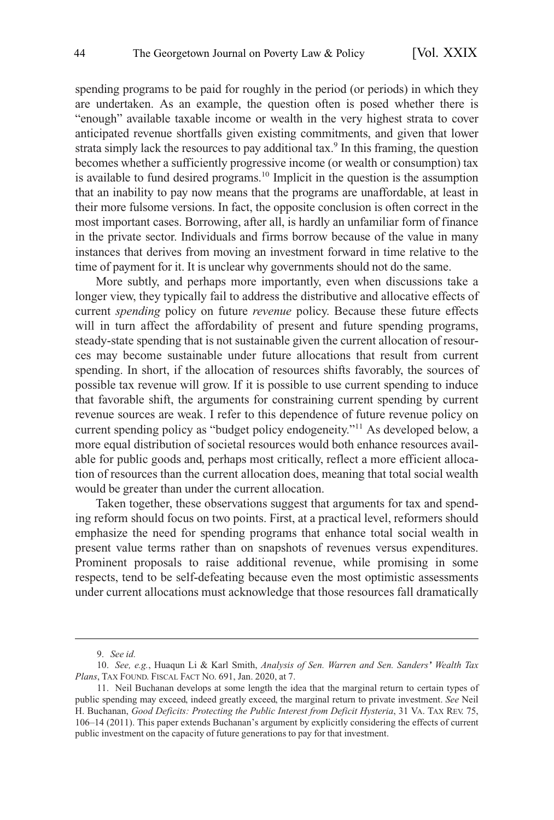spending programs to be paid for roughly in the period (or periods) in which they are undertaken. As an example, the question often is posed whether there is "enough" available taxable income or wealth in the very highest strata to cover anticipated revenue shortfalls given existing commitments, and given that lower strata simply lack the resources to pay additional tax.<sup>9</sup> In this framing, the question becomes whether a sufficiently progressive income (or wealth or consumption) tax is available to fund desired programs.<sup>10</sup> Implicit in the question is the assumption that an inability to pay now means that the programs are unaffordable, at least in their more fulsome versions. In fact, the opposite conclusion is often correct in the most important cases. Borrowing, after all, is hardly an unfamiliar form of finance in the private sector. Individuals and firms borrow because of the value in many instances that derives from moving an investment forward in time relative to the time of payment for it. It is unclear why governments should not do the same.

More subtly, and perhaps more importantly, even when discussions take a longer view, they typically fail to address the distributive and allocative effects of current *spending* policy on future *revenue* policy. Because these future effects will in turn affect the affordability of present and future spending programs, steady-state spending that is not sustainable given the current allocation of resources may become sustainable under future allocations that result from current spending. In short, if the allocation of resources shifts favorably, the sources of possible tax revenue will grow. If it is possible to use current spending to induce that favorable shift, the arguments for constraining current spending by current revenue sources are weak. I refer to this dependence of future revenue policy on current spending policy as "budget policy endogeneity."11 As developed below, a more equal distribution of societal resources would both enhance resources available for public goods and, perhaps most critically, reflect a more efficient allocation of resources than the current allocation does, meaning that total social wealth would be greater than under the current allocation.

Taken together, these observations suggest that arguments for tax and spending reform should focus on two points. First, at a practical level, reformers should emphasize the need for spending programs that enhance total social wealth in present value terms rather than on snapshots of revenues versus expenditures. Prominent proposals to raise additional revenue, while promising in some respects, tend to be self-defeating because even the most optimistic assessments under current allocations must acknowledge that those resources fall dramatically

<sup>9.</sup> *See id.* 

<sup>10.</sup> *See, e.g.*, Huaqun Li & Karl Smith, *Analysis of Sen. Warren and Sen. Sanders' Wealth Tax Plans*, TAX FOUND. FISCAL FACT NO. 691, Jan. 2020, at 7.

<sup>11.</sup> Neil Buchanan develops at some length the idea that the marginal return to certain types of public spending may exceed, indeed greatly exceed, the marginal return to private investment. *See* Neil H. Buchanan, *Good Deficits: Protecting the Public Interest from Deficit Hysteria*, 31 VA. TAX REV. 75, 106–14 (2011). This paper extends Buchanan's argument by explicitly considering the effects of current public investment on the capacity of future generations to pay for that investment.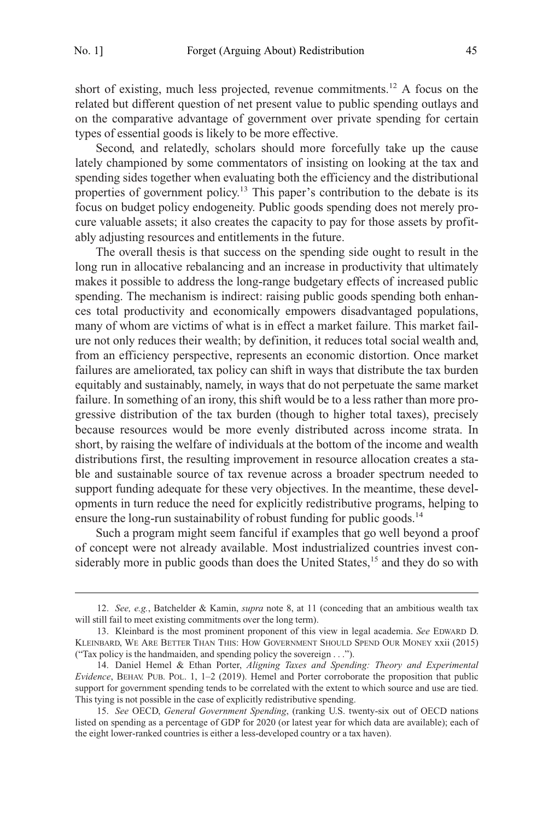short of existing, much less projected, revenue commitments.12 A focus on the related but different question of net present value to public spending outlays and on the comparative advantage of government over private spending for certain types of essential goods is likely to be more effective.

Second, and relatedly, scholars should more forcefully take up the cause lately championed by some commentators of insisting on looking at the tax and spending sides together when evaluating both the efficiency and the distributional properties of government policy.<sup>13</sup> This paper's contribution to the debate is its focus on budget policy endogeneity. Public goods spending does not merely procure valuable assets; it also creates the capacity to pay for those assets by profitably adjusting resources and entitlements in the future.

The overall thesis is that success on the spending side ought to result in the long run in allocative rebalancing and an increase in productivity that ultimately makes it possible to address the long-range budgetary effects of increased public spending. The mechanism is indirect: raising public goods spending both enhances total productivity and economically empowers disadvantaged populations, many of whom are victims of what is in effect a market failure. This market failure not only reduces their wealth; by definition, it reduces total social wealth and, from an efficiency perspective, represents an economic distortion. Once market failures are ameliorated, tax policy can shift in ways that distribute the tax burden equitably and sustainably, namely, in ways that do not perpetuate the same market failure. In something of an irony, this shift would be to a less rather than more progressive distribution of the tax burden (though to higher total taxes), precisely because resources would be more evenly distributed across income strata. In short, by raising the welfare of individuals at the bottom of the income and wealth distributions first, the resulting improvement in resource allocation creates a stable and sustainable source of tax revenue across a broader spectrum needed to support funding adequate for these very objectives. In the meantime, these developments in turn reduce the need for explicitly redistributive programs, helping to ensure the long-run sustainability of robust funding for public goods. $14$ 

Such a program might seem fanciful if examples that go well beyond a proof of concept were not already available. Most industrialized countries invest considerably more in public goods than does the United States,<sup>15</sup> and they do so with

<sup>12.</sup> *See, e.g.*, Batchelder & Kamin, *supra* note 8, at 11 (conceding that an ambitious wealth tax will still fail to meet existing commitments over the long term).

<sup>13.</sup> Kleinbard is the most prominent proponent of this view in legal academia. *See* EDWARD D. KLEINBARD, WE ARE BETTER THAN THIS: HOW GOVERNMENT SHOULD SPEND OUR MONEY xxii (2015) ("Tax policy is the handmaiden, and spending policy the sovereign . . .").

<sup>14.</sup> Daniel Hemel & Ethan Porter, *Aligning Taxes and Spending: Theory and Experimental Evidence*, BEHAV. PUB. POL. 1, 1–2 (2019). Hemel and Porter corroborate the proposition that public support for government spending tends to be correlated with the extent to which source and use are tied. This tying is not possible in the case of explicitly redistributive spending.

<sup>15.</sup> *See* OECD, *General Government Spending*, (ranking U.S. twenty-six out of OECD nations listed on spending as a percentage of GDP for 2020 (or latest year for which data are available); each of the eight lower-ranked countries is either a less-developed country or a tax haven).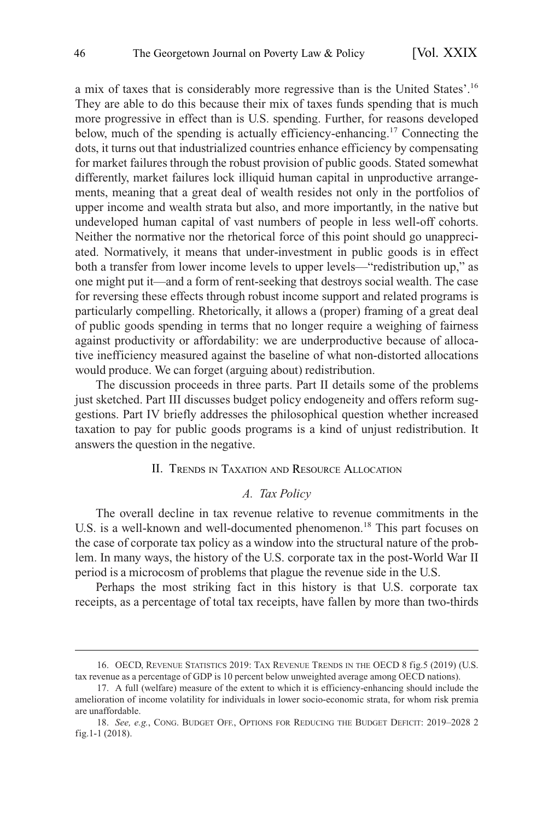<span id="page-5-0"></span>a mix of taxes that is considerably more regressive than is the United States'. 16 They are able to do this because their mix of taxes funds spending that is much more progressive in effect than is U.S. spending. Further, for reasons developed below, much of the spending is actually efficiency-enhancing.17 Connecting the dots, it turns out that industrialized countries enhance efficiency by compensating for market failures through the robust provision of public goods. Stated somewhat differently, market failures lock illiquid human capital in unproductive arrangements, meaning that a great deal of wealth resides not only in the portfolios of upper income and wealth strata but also, and more importantly, in the native but undeveloped human capital of vast numbers of people in less well-off cohorts. Neither the normative nor the rhetorical force of this point should go unappreciated. Normatively, it means that under-investment in public goods is in effect both a transfer from lower income levels to upper levels—"redistribution up," as one might put it—and a form of rent-seeking that destroys social wealth. The case for reversing these effects through robust income support and related programs is particularly compelling. Rhetorically, it allows a (proper) framing of a great deal of public goods spending in terms that no longer require a weighing of fairness against productivity or affordability: we are underproductive because of allocative inefficiency measured against the baseline of what non-distorted allocations would produce. We can forget (arguing about) redistribution.

The discussion proceeds in three parts. Part II details some of the problems just sketched. Part III discusses budget policy endogeneity and offers reform suggestions. Part IV briefly addresses the philosophical question whether increased taxation to pay for public goods programs is a kind of unjust redistribution. It answers the question in the negative.

#### II. TRENDS IN TAXATION AND RESOURCE ALLOCATION

# *A. Tax Policy*

The overall decline in tax revenue relative to revenue commitments in the U.S. is a well-known and well-documented phenomenon.<sup>18</sup> This part focuses on the case of corporate tax policy as a window into the structural nature of the problem. In many ways, the history of the U.S. corporate tax in the post-World War II period is a microcosm of problems that plague the revenue side in the U.S.

Perhaps the most striking fact in this history is that U.S. corporate tax receipts, as a percentage of total tax receipts, have fallen by more than two-thirds

<sup>16.</sup> OECD, REVENUE STATISTICS 2019: TAX REVENUE TRENDS IN THE OECD 8 fig.5 (2019) (U.S. tax revenue as a percentage of GDP is 10 percent below unweighted average among OECD nations).

<sup>17.</sup> A full (welfare) measure of the extent to which it is efficiency-enhancing should include the amelioration of income volatility for individuals in lower socio-economic strata, for whom risk premia are unaffordable.

<sup>18.</sup> *See, e.g.*, CONG. BUDGET OFF., OPTIONS FOR REDUCING THE BUDGET DEFICIT: 2019–2028 2 fig.1-1 (2018).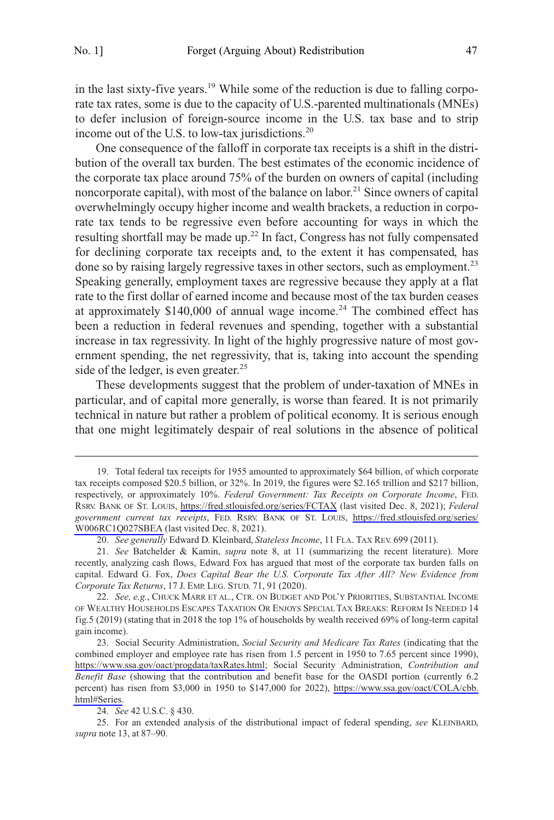in the last sixty-five years.<sup>19</sup> While some of the reduction is due to falling corporate tax rates, some is due to the capacity of U.S.-parented multinationals (MNEs) to defer inclusion of foreign-source income in the U.S. tax base and to strip income out of the U.S. to low-tax jurisdictions.<sup>20</sup>

One consequence of the falloff in corporate tax receipts is a shift in the distribution of the overall tax burden. The best estimates of the economic incidence of the corporate tax place around 75% of the burden on owners of capital (including noncorporate capital), with most of the balance on labor.<sup>21</sup> Since owners of capital overwhelmingly occupy higher income and wealth brackets, a reduction in corporate tax tends to be regressive even before accounting for ways in which the resulting shortfall may be made up.<sup>22</sup> In fact, Congress has not fully compensated for declining corporate tax receipts and, to the extent it has compensated, has done so by raising largely regressive taxes in other sectors, such as employment.<sup>23</sup> Speaking generally, employment taxes are regressive because they apply at a flat rate to the first dollar of earned income and because most of the tax burden ceases at approximately  $$140,000$  of annual wage income.<sup>24</sup> The combined effect has been a reduction in federal revenues and spending, together with a substantial increase in tax regressivity. In light of the highly progressive nature of most government spending, the net regressivity, that is, taking into account the spending side of the ledger, is even greater. $25$ 

These developments suggest that the problem of under-taxation of MNEs in particular, and of capital more generally, is worse than feared. It is not primarily technical in nature but rather a problem of political economy. It is serious enough that one might legitimately despair of real solutions in the absence of political

Total federal tax receipts for 1955 amounted to approximately \$64 billion, of which corporate 19. tax receipts composed \$20.5 billion, or 32%. In 2019, the figures were \$2.165 trillion and \$217 billion, respectively, or approximately 10%. *Federal Government: Tax Receipts on Corporate Income*, FED. RSRV. BANK OF ST. LOUIS, <https://fred.stlouisfed.org/series/FCTAX>(last visited Dec. 8, 2021); *Federal government current tax receipts*, FED. RSRV. BANK OF ST. LOUIS, [https://fred.stlouisfed.org/series/](https://fred.stlouisfed.org/series/W006RC1Q027SBEA)  [W006RC1Q027SBEA](https://fred.stlouisfed.org/series/W006RC1Q027SBEA) (last visited Dec. 8, 2021).

<sup>20.</sup> *See generally* Edward D. Kleinbard, *Stateless Income*, 11 FLA. TAX REV. 699 (2011).

<sup>21.</sup> *See* Batchelder & Kamin, *supra* note 8, at 11 (summarizing the recent literature). More recently, analyzing cash flows, Edward Fox has argued that most of the corporate tax burden falls on capital. Edward G. Fox, *Does Capital Bear the U.S. Corporate Tax After All? New Evidence from Corporate Tax Returns*, 17 J. EMP. LEG. STUD. 71, 91 (2020).

<sup>22.</sup> *See, e.g.*, CHUCK MARR ET AL., CTR. ON BUDGET AND POL'Y PRIORITIES, SUBSTANTIAL INCOME OF WEALTHY HOUSEHOLDS ESCAPES TAXATION OR ENJOYS SPECIAL TAX BREAKS: REFORM IS NEEDED 14 fig.5 (2019) (stating that in 2018 the top 1% of households by wealth received 69% of long-term capital gain income).

<sup>23.</sup> Social Security Administration, *Social Security and Medicare Tax Rates* (indicating that the combined employer and employee rate has risen from 1.5 percent in 1950 to 7.65 percent since 1990), [https://www.ssa.gov/oact/progdata/taxRates.html;](https://www.ssa.gov/oact/progdata/taxRates.html) Social Security Administration, *Contribution and Benefit Base* (showing that the contribution and benefit base for the OASDI portion (currently 6.2 percent) has risen from \$3,000 in 1950 to \$147,000 for 2022), [https://www.ssa.gov/oact/COLA/cbb.](https://www.ssa.gov/oact/COLA/cbb.html#Series) [html#Series.](https://www.ssa.gov/oact/COLA/cbb.html#Series)

<sup>24.</sup> *See* 42 U.S.C. § 430.

<sup>25.</sup> For an extended analysis of the distributional impact of federal spending, *see* KLEINBARD, *supra* note 13, at 87–90.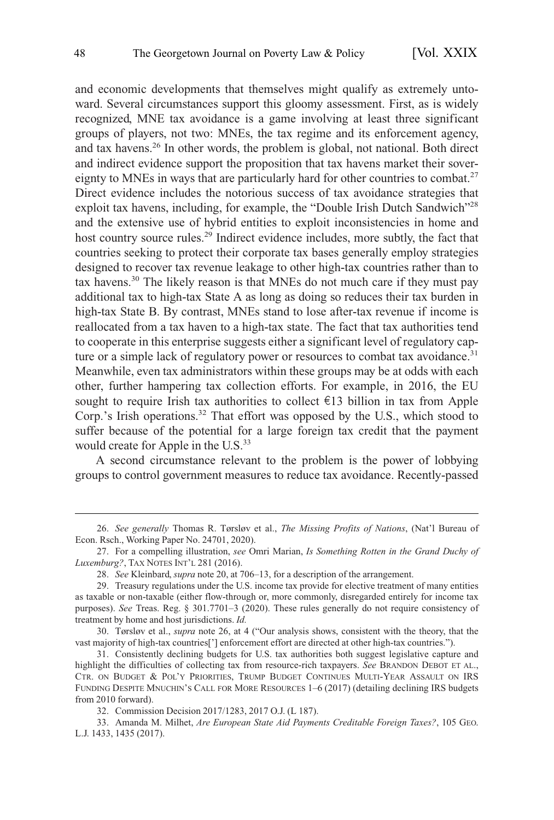and economic developments that themselves might qualify as extremely untoward. Several circumstances support this gloomy assessment. First, as is widely recognized, MNE tax avoidance is a game involving at least three significant groups of players, not two: MNEs, the tax regime and its enforcement agency, and tax havens.26 In other words, the problem is global, not national. Both direct and indirect evidence support the proposition that tax havens market their sovereignty to MNEs in ways that are particularly hard for other countries to combat.<sup>27</sup> Direct evidence includes the notorious success of tax avoidance strategies that exploit tax havens, including, for example, the "Double Irish Dutch Sandwich"<sup>28</sup> and the extensive use of hybrid entities to exploit inconsistencies in home and host country source rules.<sup>29</sup> Indirect evidence includes, more subtly, the fact that countries seeking to protect their corporate tax bases generally employ strategies designed to recover tax revenue leakage to other high-tax countries rather than to tax havens.30 The likely reason is that MNEs do not much care if they must pay additional tax to high-tax State A as long as doing so reduces their tax burden in high-tax State B. By contrast, MNEs stand to lose after-tax revenue if income is reallocated from a tax haven to a high-tax state. The fact that tax authorities tend to cooperate in this enterprise suggests either a significant level of regulatory capture or a simple lack of regulatory power or resources to combat tax avoidance.<sup>31</sup> Meanwhile, even tax administrators within these groups may be at odds with each other, further hampering tax collection efforts. For example, in 2016, the EU sought to require Irish tax authorities to collect  $\epsilon$ 13 billion in tax from Apple Corp.'s Irish operations.<sup>32</sup> That effort was opposed by the U.S., which stood to suffer because of the potential for a large foreign tax credit that the payment would create for Apple in the U.S.<sup>33</sup>

A second circumstance relevant to the problem is the power of lobbying groups to control government measures to reduce tax avoidance. Recently-passed

<sup>26.</sup> *See generally* Thomas R. Tørsløv et al., *The Missing Profits of Nations*, (Nat'l Bureau of Econ. Rsch., Working Paper No. 24701, 2020).

<sup>27.</sup> For a compelling illustration, *see* Omri Marian, *Is Something Rotten in the Grand Duchy of Luxemburg?*, TAX NOTES INT'L 281 (2016).

<sup>28.</sup> *See* Kleinbard, *supra* note 20, at 706–13, for a description of the arrangement.

<sup>29.</sup> Treasury regulations under the U.S. income tax provide for elective treatment of many entities as taxable or non-taxable (either flow-through or, more commonly, disregarded entirely for income tax purposes). *See* Treas. Reg. § 301.7701–3 (2020). These rules generally do not require consistency of treatment by home and host jurisdictions. *Id.* 

<sup>30.</sup> Tørsløv et al., *supra* note 26, at 4 ("Our analysis shows, consistent with the theory, that the vast majority of high-tax countries['] enforcement effort are directed at other high-tax countries.").

<sup>31.</sup> Consistently declining budgets for U.S. tax authorities both suggest legislative capture and highlight the difficulties of collecting tax from resource-rich taxpayers. *See* BRANDON DEBOT ET AL., CTR. ON BUDGET & POL'Y PRIORITIES, TRUMP BUDGET CONTINUES MULTI-YEAR ASSAULT ON IRS FUNDING DESPITE MNUCHIN'S CALL FOR MORE RESOURCES 1–6 (2017) (detailing declining IRS budgets from 2010 forward).

<sup>32.</sup> Commission Decision 2017/1283, 2017 O.J. (L 187).

<sup>33.</sup> Amanda M. Milhet, *Are European State Aid Payments Creditable Foreign Taxes?*, 105 GEO. L.J. 1433, 1435 (2017).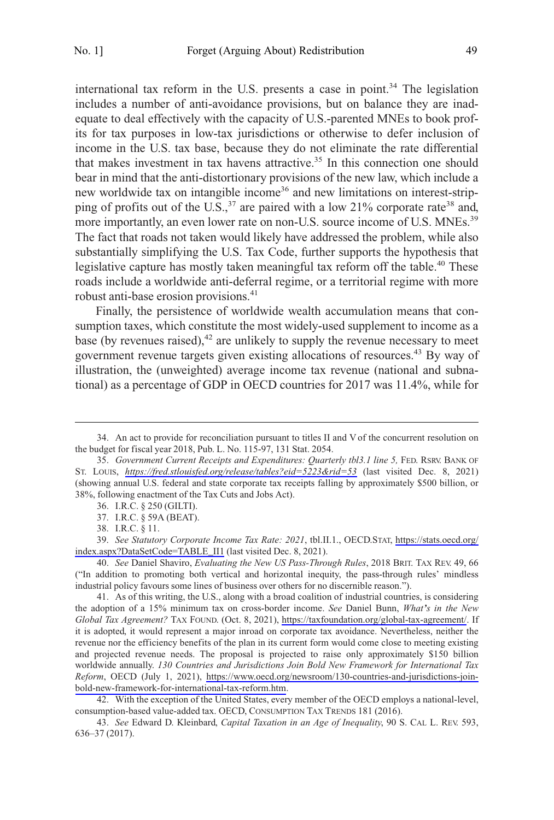international tax reform in the U.S. presents a case in point.<sup>34</sup> The legislation includes a number of anti-avoidance provisions, but on balance they are inadequate to deal effectively with the capacity of U.S.-parented MNEs to book profits for tax purposes in low-tax jurisdictions or otherwise to defer inclusion of income in the U.S. tax base, because they do not eliminate the rate differential that makes investment in tax havens attractive.<sup>35</sup> In this connection one should bear in mind that the anti-distortionary provisions of the new law, which include a new worldwide tax on intangible income<sup>36</sup> and new limitations on interest-stripping of profits out of the U.S., $^{37}$  are paired with a low 21% corporate rate<sup>38</sup> and, more importantly, an even lower rate on non-U.S. source income of U.S. MNEs.<sup>39</sup> The fact that roads not taken would likely have addressed the problem, while also substantially simplifying the U.S. Tax Code, further supports the hypothesis that legislative capture has mostly taken meaningful tax reform off the table.<sup>40</sup> These roads include a worldwide anti-deferral regime, or a territorial regime with more robust anti-base erosion provisions.<sup>41</sup>

Finally, the persistence of worldwide wealth accumulation means that consumption taxes, which constitute the most widely-used supplement to income as a base (by revenues raised), $42$  are unlikely to supply the revenue necessary to meet government revenue targets given existing allocations of resources.<sup>43</sup> By way of illustration, the (unweighted) average income tax revenue (national and subnational) as a percentage of GDP in OECD countries for 2017 was 11.4%, while for

*See Statutory Corporate Income Tax Rate: 2021*, tbl.II.1., OECD.STAT, [https://stats.oecd.org/](https://stats.oecd.org/index.aspx?DataSetCode=TABLE_II1) 39. [index.aspx?DataSetCode=TABLE\\_II1](https://stats.oecd.org/index.aspx?DataSetCode=TABLE_II1) (last visited Dec. 8, 2021).

40. *See* Daniel Shaviro, *Evaluating the New US Pass-Through Rules*, 2018 BRIT. TAX REV. 49, 66 ("In addition to promoting both vertical and horizontal inequity, the pass-through rules' mindless industrial policy favours some lines of business over others for no discernible reason.").

42. With the exception of the United States, every member of the OECD employs a national-level, consumption-based value-added tax. OECD, CONSUMPTION TAX TRENDS 181 (2016).

43. *See* Edward D. Kleinbard, *Capital Taxation in an Age of Inequality*, 90 S. CAL L. REV. 593, 636–37 (2017).

<sup>34.</sup> An act to provide for reconciliation pursuant to titles II and V of the concurrent resolution on the budget for fiscal year 2018, Pub. L. No. 115-97, 131 Stat. 2054.

<sup>35.</sup> Government Current Receipts and Expenditures: Quarterly tbl3.1 line 5, FED. RSRV. BANK OF ST. LOUIS, *<https://fred.stlouisfed.org/release/tables?eid=5223&rid=53>* (last visited Dec. 8, 2021) (showing annual U.S. federal and state corporate tax receipts falling by approximately \$500 billion, or 38%, following enactment of the Tax Cuts and Jobs Act).

<sup>36.</sup> I.R.C. § 250 (GILTI).

<sup>37.</sup> I.R.C. § 59A (BEAT).

<sup>38.</sup> I.R.C. § 11.

As of this writing, the U.S., along with a broad coalition of industrial countries, is considering 41. the adoption of a 15% minimum tax on cross-border income. *See* Daniel Bunn, *What's in the New Global Tax Agreement?* TAX FOUND. (Oct. 8, 2021), [https://taxfoundation.org/global-tax-agreement/.](https://taxfoundation.org/global-tax-agreement/) If it is adopted, it would represent a major inroad on corporate tax avoidance. Nevertheless, neither the revenue nor the efficiency benefits of the plan in its current form would come close to meeting existing and projected revenue needs. The proposal is projected to raise only approximately \$150 billion worldwide annually. *130 Countries and Jurisdictions Join Bold New Framework for International Tax Reform*, OECD (July 1, 2021), [https://www.oecd.org/newsroom/130-countries-and-jurisdictions-join](https://www.oecd.org/newsroom/130-countries-and-jurisdictions-join-bold-new-framework-for-international-tax-reform.htm)[bold-new-framework-for-international-tax-reform.htm](https://www.oecd.org/newsroom/130-countries-and-jurisdictions-join-bold-new-framework-for-international-tax-reform.htm).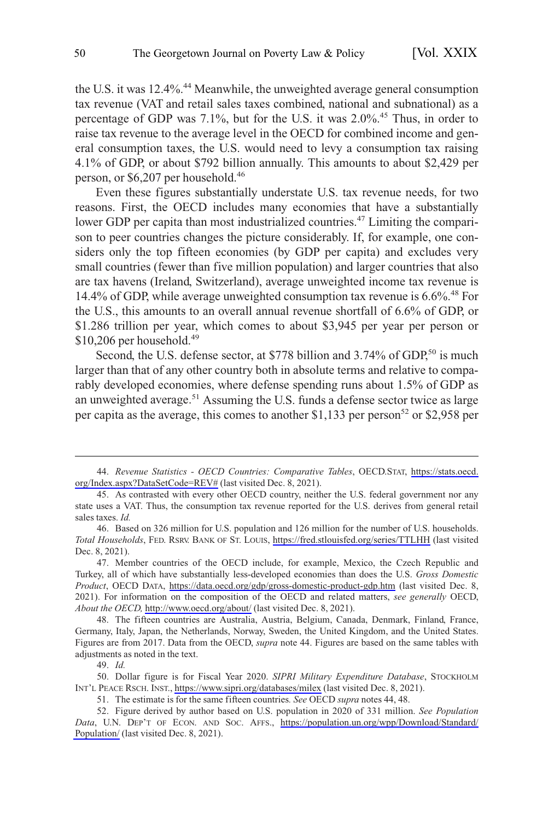the U.S. it was 12.4%. 44 Meanwhile, the unweighted average general consumption tax revenue (VAT and retail sales taxes combined, national and subnational) as a percentage of GDP was 7.1%, but for the U.S. it was 2.0%. 45 Thus, in order to raise tax revenue to the average level in the OECD for combined income and general consumption taxes, the U.S. would need to levy a consumption tax raising 4.1% of GDP, or about \$792 billion annually. This amounts to about \$2,429 per person, or \$6,207 per household.46

Even these figures substantially understate U.S. tax revenue needs, for two reasons. First, the OECD includes many economies that have a substantially lower GDP per capita than most industrialized countries.<sup>47</sup> Limiting the comparison to peer countries changes the picture considerably. If, for example, one considers only the top fifteen economies (by GDP per capita) and excludes very small countries (fewer than five million population) and larger countries that also are tax havens (Ireland, Switzerland), average unweighted income tax revenue is 14.4% of GDP, while average unweighted consumption tax revenue is 6.6%. 48 For the U.S., this amounts to an overall annual revenue shortfall of 6.6% of GDP, or \$1.286 trillion per year, which comes to about \$3,945 per year per person or  $$10,206$  per household.<sup>49</sup>

Second, the U.S. defense sector, at \$778 billion and 3.74% of GDP,<sup>50</sup> is much larger than that of any other country both in absolute terms and relative to comparably developed economies, where defense spending runs about 1.5% of GDP as an unweighted average.<sup>51</sup> Assuming the U.S. funds a defense sector twice as large per capita as the average, this comes to another \$1,133 per person<sup>52</sup> or \$2,958 per

*Revenue Statistics - OECD Countries: Comparative Tables*, OECD.STAT, [https://stats.oecd.](https://stats.oecd.org/Index.aspx?DataSetCode=REV#)  44. [org/Index.aspx?DataSetCode=REV#](https://stats.oecd.org/Index.aspx?DataSetCode=REV#) (last visited Dec. 8, 2021).

<sup>45.</sup> As contrasted with every other OECD country, neither the U.S. federal government nor any state uses a VAT. Thus, the consumption tax revenue reported for the U.S. derives from general retail sales taxes. *Id.* 

Based on 326 million for U.S. population and 126 million for the number of U.S. households. 46. *Total Households*, FED. RSRV. BANK OF ST. LOUIS,<https://fred.stlouisfed.org/series/TTLHH>(last visited Dec. 8, 2021).

<sup>47.</sup> Member countries of the OECD include, for example, Mexico, the Czech Republic and Turkey, all of which have substantially less-developed economies than does the U.S. *Gross Domestic Product*, OECD DATA, <https://data.oecd.org/gdp/gross-domestic-product-gdp.htm>(last visited Dec. 8, 2021). For information on the composition of the OECD and related matters, *see generally* OECD, *About the OECD,* <http://www.oecd.org/about/>(last visited Dec. 8, 2021).

<sup>48.</sup> The fifteen countries are Australia, Austria, Belgium, Canada, Denmark, Finland, France, Germany, Italy, Japan, the Netherlands, Norway, Sweden, the United Kingdom, and the United States. Figures are from 2017. Data from the OECD, *supra* note 44. Figures are based on the same tables with adjustments as noted in the text.

<sup>49.</sup> *Id.* 

<sup>50.</sup> Dollar figure is for Fiscal Year 2020. SIPRI Military Expenditure Database, STOCKHOLM INT'L PEACE RSCH. INST.,<https://www.sipri.org/databases/milex> (last visited Dec. 8, 2021).

<sup>51.</sup> The estimate is for the same fifteen countries*. See* OECD *supra* notes 44, 48.

Figure derived by author based on U.S. population in 2020 of 331 million. *See Population*  52. *Data*, U.N. DEP'T OF ECON. AND SOC. AFFS., [https://population.un.org/wpp/Download/Standard/](https://population.un.org/wpp/Download/Standard/Population/)  [Population/](https://population.un.org/wpp/Download/Standard/Population/) (last visited Dec. 8, 2021).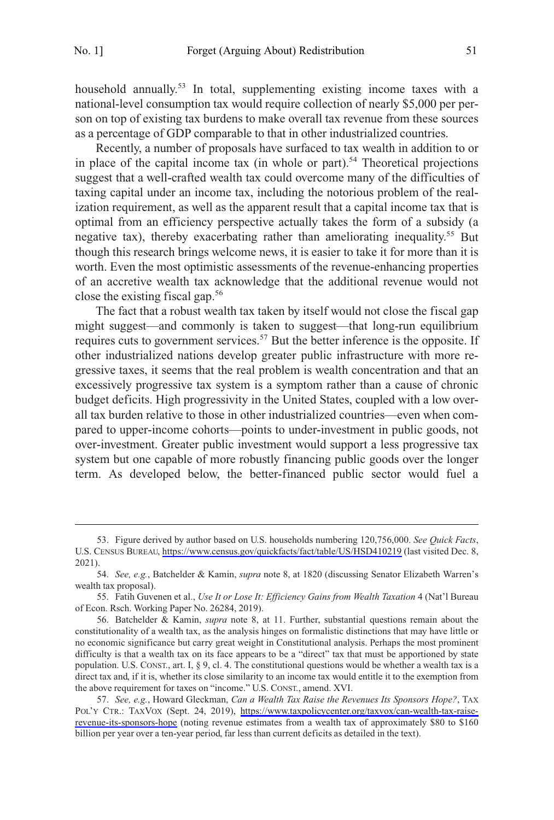household annually.<sup>53</sup> In total, supplementing existing income taxes with a national-level consumption tax would require collection of nearly \$5,000 per person on top of existing tax burdens to make overall tax revenue from these sources as a percentage of GDP comparable to that in other industrialized countries.

Recently, a number of proposals have surfaced to tax wealth in addition to or in place of the capital income tax (in whole or part).<sup>54</sup> Theoretical projections suggest that a well-crafted wealth tax could overcome many of the difficulties of taxing capital under an income tax, including the notorious problem of the realization requirement, as well as the apparent result that a capital income tax that is optimal from an efficiency perspective actually takes the form of a subsidy (a negative tax), thereby exacerbating rather than ameliorating inequality.55 But though this research brings welcome news, it is easier to take it for more than it is worth. Even the most optimistic assessments of the revenue-enhancing properties of an accretive wealth tax acknowledge that the additional revenue would not close the existing fiscal gap.56

The fact that a robust wealth tax taken by itself would not close the fiscal gap might suggest—and commonly is taken to suggest—that long-run equilibrium requires cuts to government services.<sup>57</sup> But the better inference is the opposite. If other industrialized nations develop greater public infrastructure with more regressive taxes, it seems that the real problem is wealth concentration and that an excessively progressive tax system is a symptom rather than a cause of chronic budget deficits. High progressivity in the United States, coupled with a low overall tax burden relative to those in other industrialized countries—even when compared to upper-income cohorts—points to under-investment in public goods, not over-investment. Greater public investment would support a less progressive tax system but one capable of more robustly financing public goods over the longer term. As developed below, the better-financed public sector would fuel a

<sup>53.</sup> Figure derived by author based on U.S. households numbering 120,756,000. See Quick Facts, U.S. CENSUS BUREAU,<https://www.census.gov/quickfacts/fact/table/US/HSD410219>(last visited Dec. 8, 2021).

<sup>54.</sup> *See, e.g.*, Batchelder & Kamin, *supra* note 8, at 1820 (discussing Senator Elizabeth Warren's wealth tax proposal).

<sup>55.</sup> Fatih Guvenen et al., *Use It or Lose It: Efficiency Gains from Wealth Taxation* 4 (Nat'l Bureau of Econ. Rsch. Working Paper No. 26284, 2019).

<sup>56.</sup> Batchelder & Kamin, *supra* note 8, at 11. Further, substantial questions remain about the constitutionality of a wealth tax, as the analysis hinges on formalistic distinctions that may have little or no economic significance but carry great weight in Constitutional analysis. Perhaps the most prominent difficulty is that a wealth tax on its face appears to be a "direct" tax that must be apportioned by state population. U.S. CONST., art. I, § 9, cl. 4. The constitutional questions would be whether a wealth tax is a direct tax and, if it is, whether its close similarity to an income tax would entitle it to the exemption from the above requirement for taxes on "income." U.S. CONST., amend. XVI.

*See, e.g.*, Howard Gleckman, *Can a Wealth Tax Raise the Revenues Its Sponsors Hope?*, TAX 57. POL'Y CTR.: TAXVOX (Sept. 24, 2019), [https://www.taxpolicycenter.org/taxvox/can-wealth-tax-raise](https://www.taxpolicycenter.org/taxvox/can-wealth-tax-raise-revenue-its-sponsors-hope)[revenue-its-sponsors-hope](https://www.taxpolicycenter.org/taxvox/can-wealth-tax-raise-revenue-its-sponsors-hope) (noting revenue estimates from a wealth tax of approximately \$80 to \$160 billion per year over a ten-year period, far less than current deficits as detailed in the text).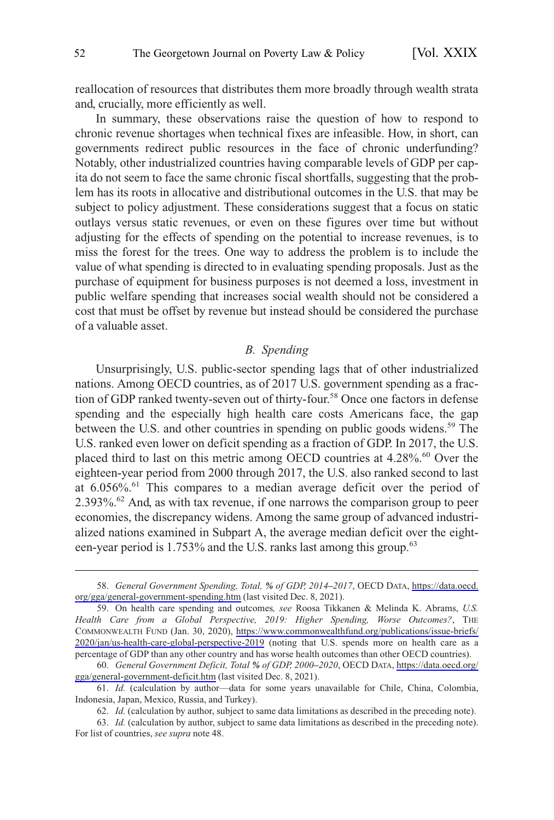<span id="page-11-0"></span>reallocation of resources that distributes them more broadly through wealth strata and, crucially, more efficiently as well.

In summary, these observations raise the question of how to respond to chronic revenue shortages when technical fixes are infeasible. How, in short, can governments redirect public resources in the face of chronic underfunding? Notably, other industrialized countries having comparable levels of GDP per capita do not seem to face the same chronic fiscal shortfalls, suggesting that the problem has its roots in allocative and distributional outcomes in the U.S. that may be subject to policy adjustment. These considerations suggest that a focus on static outlays versus static revenues, or even on these figures over time but without adjusting for the effects of spending on the potential to increase revenues, is to miss the forest for the trees. One way to address the problem is to include the value of what spending is directed to in evaluating spending proposals. Just as the purchase of equipment for business purposes is not deemed a loss, investment in public welfare spending that increases social wealth should not be considered a cost that must be offset by revenue but instead should be considered the purchase of a valuable asset.

# *B. Spending*

Unsurprisingly, U.S. public-sector spending lags that of other industrialized nations. Among OECD countries, as of 2017 U.S. government spending as a fraction of GDP ranked twenty-seven out of thirty-four.<sup>58</sup> Once one factors in defense spending and the especially high health care costs Americans face, the gap between the U.S. and other countries in spending on public goods widens.<sup>59</sup> The U.S. ranked even lower on deficit spending as a fraction of GDP. In 2017, the U.S. placed third to last on this metric among OECD countries at 4.28%. 60 Over the eighteen-year period from 2000 through 2017, the U.S. also ranked second to last at 6.056%. 61 This compares to a median average deficit over the period of 2.393%. 62 And, as with tax revenue, if one narrows the comparison group to peer economies, the discrepancy widens. Among the same group of advanced industrialized nations examined in Subpart A, the average median deficit over the eighteen-year period is 1.753% and the U.S. ranks last among this group.<sup>63</sup>

*General Government Spending, Total, % of GDP, 2014–2017*, OECD DATA, [https://data.oecd.](https://data.oecd.org/gga/general-government-spending.htm)  58. [org/gga/general-government-spending.htm](https://data.oecd.org/gga/general-government-spending.htm) (last visited Dec. 8, 2021).

On health care spending and outcomes*, see* Roosa Tikkanen & Melinda K. Abrams, *U.S.*  59. *Health Care from a Global Perspective, 2019: Higher Spending, Worse Outcomes?*, THE COMMONWEALTH FUND (Jan. 30, 2020), [https://www.commonwealthfund.org/publications/issue-briefs/](https://www.commonwealthfund.org/publications/issue-briefs/2020/jan/us-health-care-global-perspective-2019) [2020/jan/us-health-care-global-perspective-2019](https://www.commonwealthfund.org/publications/issue-briefs/2020/jan/us-health-care-global-perspective-2019) (noting that U.S. spends more on health care as a percentage of GDP than any other country and has worse health outcomes than other OECD countries).

*General Government Deficit, Total % of GDP, 2000–2020*, OECD DATA, [https://data.oecd.org/](https://data.oecd.org/gga/general-government-deficit.htm)  60. [gga/general-government-deficit.htm](https://data.oecd.org/gga/general-government-deficit.htm) (last visited Dec. 8, 2021).

<sup>61.</sup> *Id.* (calculation by author—data for some years unavailable for Chile, China, Colombia, Indonesia, Japan, Mexico, Russia, and Turkey).

<sup>62.</sup> *Id.* (calculation by author, subject to same data limitations as described in the preceding note).

<sup>63.</sup> *Id.* (calculation by author, subject to same data limitations as described in the preceding note). For list of countries, *see supra* note 48.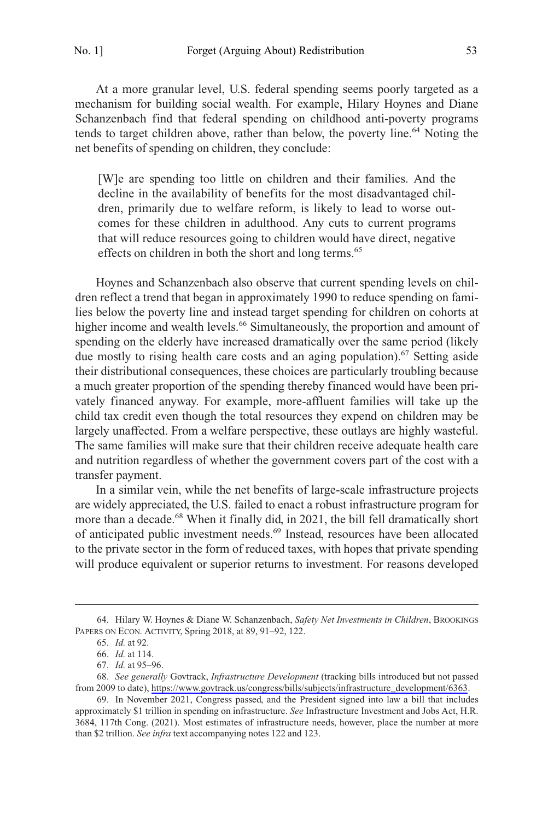At a more granular level, U.S. federal spending seems poorly targeted as a mechanism for building social wealth. For example, Hilary Hoynes and Diane Schanzenbach find that federal spending on childhood anti-poverty programs tends to target children above, rather than below, the poverty line.<sup>64</sup> Noting the net benefits of spending on children, they conclude:

[W]e are spending too little on children and their families. And the decline in the availability of benefits for the most disadvantaged children, primarily due to welfare reform, is likely to lead to worse outcomes for these children in adulthood. Any cuts to current programs that will reduce resources going to children would have direct, negative effects on children in both the short and long terms.<sup>65</sup>

Hoynes and Schanzenbach also observe that current spending levels on children reflect a trend that began in approximately 1990 to reduce spending on families below the poverty line and instead target spending for children on cohorts at higher income and wealth levels.<sup>66</sup> Simultaneously, the proportion and amount of spending on the elderly have increased dramatically over the same period (likely due mostly to rising health care costs and an aging population).<sup>67</sup> Setting aside their distributional consequences, these choices are particularly troubling because a much greater proportion of the spending thereby financed would have been privately financed anyway. For example, more-affluent families will take up the child tax credit even though the total resources they expend on children may be largely unaffected. From a welfare perspective, these outlays are highly wasteful. The same families will make sure that their children receive adequate health care and nutrition regardless of whether the government covers part of the cost with a transfer payment.

In a similar vein, while the net benefits of large-scale infrastructure projects are widely appreciated, the U.S. failed to enact a robust infrastructure program for more than a decade.<sup>68</sup> When it finally did, in 2021, the bill fell dramatically short of anticipated public investment needs.69 Instead, resources have been allocated to the private sector in the form of reduced taxes, with hopes that private spending will produce equivalent or superior returns to investment. For reasons developed

<sup>64.</sup> Hilary W. Hoynes & Diane W. Schanzenbach, *Safety Net Investments in Children*, BROOKINGS PAPERS ON ECON. ACTIVITY, Spring 2018, at 89, 91–92, 122.

<sup>65.</sup> *Id.* at 92.

<sup>66.</sup> *Id.* at 114.

<sup>67.</sup> *Id.* at 95–96.

*See generally* Govtrack, *Infrastructure Development* (tracking bills introduced but not passed 68. from 2009 to date), [https://www.govtrack.us/congress/bills/subjects/infrastructure\\_development/6363.](https://www.govtrack.us/congress/bills/subjects/infrastructure_development/6363)

<sup>69.</sup> In November 2021, Congress passed, and the President signed into law a bill that includes approximately \$1 trillion in spending on infrastructure. *See* Infrastructure Investment and Jobs Act, H.R. 3684, 117th Cong. (2021). Most estimates of infrastructure needs, however, place the number at more than \$2 trillion. *See infra* text accompanying notes 122 and 123.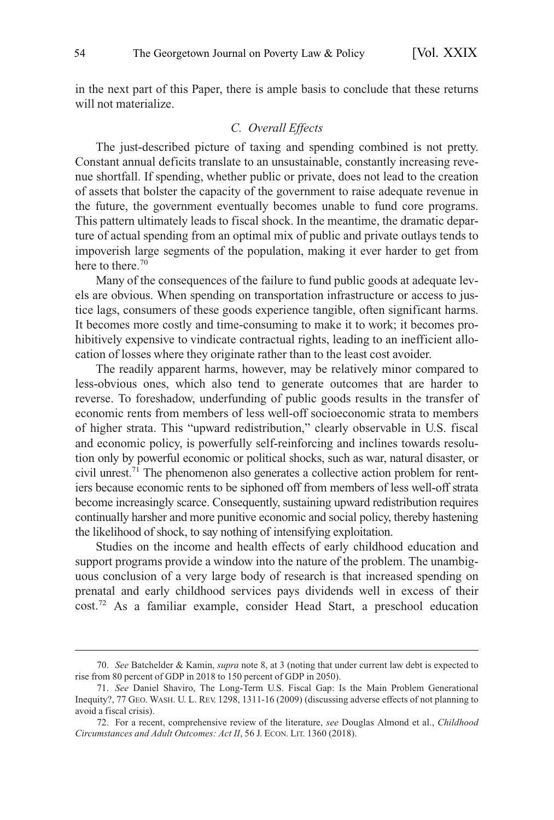<span id="page-13-0"></span>in the next part of this Paper, there is ample basis to conclude that these returns will not materialize.

#### *C. Overall Effects*

The just-described picture of taxing and spending combined is not pretty. Constant annual deficits translate to an unsustainable, constantly increasing revenue shortfall. If spending, whether public or private, does not lead to the creation of assets that bolster the capacity of the government to raise adequate revenue in the future, the government eventually becomes unable to fund core programs. This pattern ultimately leads to fiscal shock. In the meantime, the dramatic departure of actual spending from an optimal mix of public and private outlays tends to impoverish large segments of the population, making it ever harder to get from here to there.<sup>70</sup>

Many of the consequences of the failure to fund public goods at adequate levels are obvious. When spending on transportation infrastructure or access to justice lags, consumers of these goods experience tangible, often significant harms. It becomes more costly and time-consuming to make it to work; it becomes prohibitively expensive to vindicate contractual rights, leading to an inefficient allocation of losses where they originate rather than to the least cost avoider.

The readily apparent harms, however, may be relatively minor compared to less-obvious ones, which also tend to generate outcomes that are harder to reverse. To foreshadow, underfunding of public goods results in the transfer of economic rents from members of less well-off socioeconomic strata to members of higher strata. This "upward redistribution," clearly observable in U.S. fiscal and economic policy, is powerfully self-reinforcing and inclines towards resolution only by powerful economic or political shocks, such as war, natural disaster, or civil unrest.71 The phenomenon also generates a collective action problem for rentiers because economic rents to be siphoned off from members of less well-off strata become increasingly scarce. Consequently, sustaining upward redistribution requires continually harsher and more punitive economic and social policy, thereby hastening the likelihood of shock, to say nothing of intensifying exploitation.

Studies on the income and health effects of early childhood education and support programs provide a window into the nature of the problem. The unambiguous conclusion of a very large body of research is that increased spending on prenatal and early childhood services pays dividends well in excess of their cost.72 As a familiar example, consider Head Start, a preschool education

<sup>70.</sup> *See* Batchelder & Kamin, *supra* note 8, at 3 (noting that under current law debt is expected to rise from 80 percent of GDP in 2018 to 150 percent of GDP in 2050).

<sup>71.</sup> *See* Daniel Shaviro, The Long-Term U.S. Fiscal Gap: Is the Main Problem Generational Inequity?, 77 GEO. WASH. U. L. REV. 1298, 1311-16 (2009) (discussing adverse effects of not planning to avoid a fiscal crisis).

<sup>72.</sup> For a recent, comprehensive review of the literature, *see* Douglas Almond et al., *Childhood Circumstances and Adult Outcomes: Act II*, 56 J. ECON. LIT. 1360 (2018).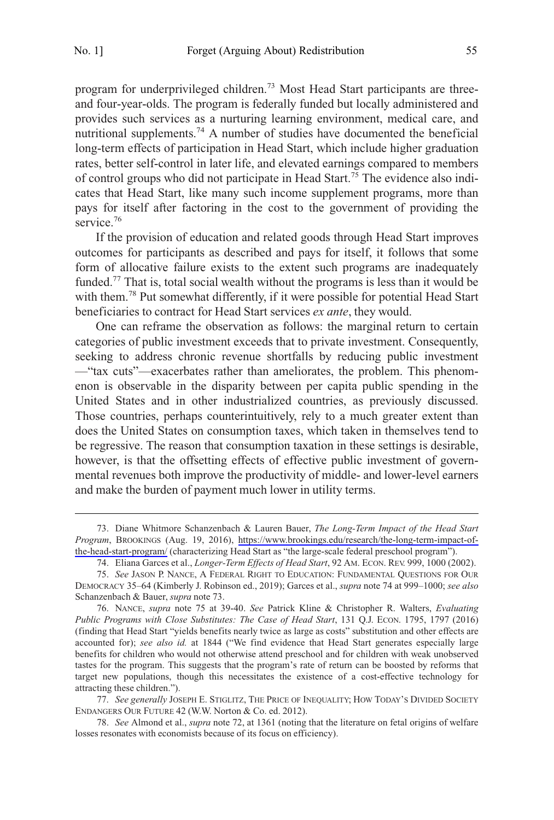program for underprivileged children.<sup>73</sup> Most Head Start participants are threeand four-year-olds. The program is federally funded but locally administered and provides such services as a nurturing learning environment, medical care, and nutritional supplements.<sup>74</sup> A number of studies have documented the beneficial long-term effects of participation in Head Start, which include higher graduation rates, better self-control in later life, and elevated earnings compared to members of control groups who did not participate in Head Start.75 The evidence also indicates that Head Start, like many such income supplement programs, more than pays for itself after factoring in the cost to the government of providing the service.<sup>76</sup>

If the provision of education and related goods through Head Start improves outcomes for participants as described and pays for itself, it follows that some form of allocative failure exists to the extent such programs are inadequately funded.<sup>77</sup> That is, total social wealth without the programs is less than it would be with them.<sup>78</sup> Put somewhat differently, if it were possible for potential Head Start beneficiaries to contract for Head Start services *ex ante*, they would.

One can reframe the observation as follows: the marginal return to certain categories of public investment exceeds that to private investment. Consequently, seeking to address chronic revenue shortfalls by reducing public investment —"tax cuts"—exacerbates rather than ameliorates, the problem. This phenomenon is observable in the disparity between per capita public spending in the United States and in other industrialized countries, as previously discussed. Those countries, perhaps counterintuitively, rely to a much greater extent than does the United States on consumption taxes, which taken in themselves tend to be regressive. The reason that consumption taxation in these settings is desirable, however, is that the offsetting effects of effective public investment of governmental revenues both improve the productivity of middle- and lower-level earners and make the burden of payment much lower in utility terms.

Diane Whitmore Schanzenbach & Lauren Bauer, *The Long-Term Impact of the Head Start*  73. *Program*, BROOKINGS (Aug. 19, 2016), [https://www.brookings.edu/research/the-long-term-impact-of](https://www.brookings.edu/research/the-long-term-impact-of-the-head-start-program/)[the-head-start-program/](https://www.brookings.edu/research/the-long-term-impact-of-the-head-start-program/) (characterizing Head Start as "the large-scale federal preschool program").

<sup>74.</sup> Eliana Garces et al., *Longer-Term Effects of Head Start*, 92 AM. ECON. REV. 999, 1000 (2002).

<sup>75.</sup> *See* JASON P. NANCE, A FEDERAL RIGHT TO EDUCATION: FUNDAMENTAL QUESTIONS FOR OUR DEMOCRACY 35–64 (Kimberly J. Robinson ed., 2019); Garces et al., *supra* note 74 at 999–1000; *see also*  Schanzenbach & Bauer, *supra* note 73.

<sup>76.</sup> NANCE, *supra* note 75 at 39-40. *See* Patrick Kline & Christopher R. Walters, *Evaluating Public Programs with Close Substitutes: The Case of Head Start*, 131 Q.J. ECON. 1795, 1797 (2016) (finding that Head Start "yields benefits nearly twice as large as costs" substitution and other effects are accounted for); *see also id.* at 1844 ("We find evidence that Head Start generates especially large benefits for children who would not otherwise attend preschool and for children with weak unobserved tastes for the program. This suggests that the program's rate of return can be boosted by reforms that target new populations, though this necessitates the existence of a cost-effective technology for attracting these children.").

<sup>77.</sup> *See generally* JOSEPH E. STIGLITZ, THE PRICE OF INEQUALITY; HOW TODAY'S DIVIDED SOCIETY ENDANGERS OUR FUTURE 42 (W.W. Norton & Co. ed. 2012).

<sup>78.</sup> *See* Almond et al., *supra* note 72, at 1361 (noting that the literature on fetal origins of welfare losses resonates with economists because of its focus on efficiency).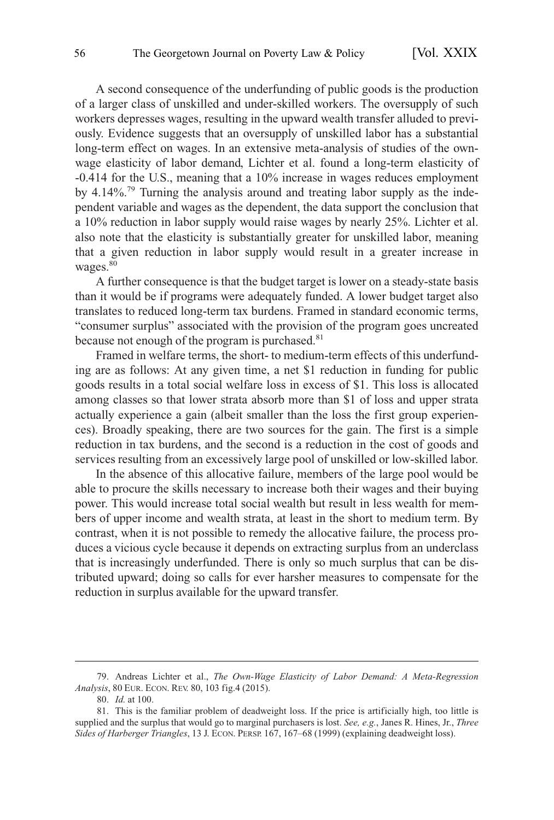A second consequence of the underfunding of public goods is the production of a larger class of unskilled and under-skilled workers. The oversupply of such workers depresses wages, resulting in the upward wealth transfer alluded to previously. Evidence suggests that an oversupply of unskilled labor has a substantial long-term effect on wages. In an extensive meta-analysis of studies of the ownwage elasticity of labor demand, Lichter et al. found a long-term elasticity of -0.414 for the U.S., meaning that a 10% increase in wages reduces employment by 4.14%. 79 Turning the analysis around and treating labor supply as the independent variable and wages as the dependent, the data support the conclusion that a 10% reduction in labor supply would raise wages by nearly 25%. Lichter et al. also note that the elasticity is substantially greater for unskilled labor, meaning that a given reduction in labor supply would result in a greater increase in wages.<sup>80</sup>

A further consequence is that the budget target is lower on a steady-state basis than it would be if programs were adequately funded. A lower budget target also translates to reduced long-term tax burdens. Framed in standard economic terms, "consumer surplus" associated with the provision of the program goes uncreated because not enough of the program is purchased.<sup>81</sup>

Framed in welfare terms, the short- to medium-term effects of this underfunding are as follows: At any given time, a net \$1 reduction in funding for public goods results in a total social welfare loss in excess of \$1. This loss is allocated among classes so that lower strata absorb more than \$1 of loss and upper strata actually experience a gain (albeit smaller than the loss the first group experiences). Broadly speaking, there are two sources for the gain. The first is a simple reduction in tax burdens, and the second is a reduction in the cost of goods and services resulting from an excessively large pool of unskilled or low-skilled labor.

In the absence of this allocative failure, members of the large pool would be able to procure the skills necessary to increase both their wages and their buying power. This would increase total social wealth but result in less wealth for members of upper income and wealth strata, at least in the short to medium term. By contrast, when it is not possible to remedy the allocative failure, the process produces a vicious cycle because it depends on extracting surplus from an underclass that is increasingly underfunded. There is only so much surplus that can be distributed upward; doing so calls for ever harsher measures to compensate for the reduction in surplus available for the upward transfer.

<sup>79.</sup> Andreas Lichter et al., *The Own-Wage Elasticity of Labor Demand: A Meta-Regression Analysis*, 80 EUR. ECON. REV. 80, 103 fig.4 (2015).

<sup>80.</sup> *Id.* at 100.

<sup>81.</sup> This is the familiar problem of deadweight loss. If the price is artificially high, too little is supplied and the surplus that would go to marginal purchasers is lost. *See, e.g.*, Janes R. Hines, Jr., *Three Sides of Harberger Triangles*, 13 J. ECON. PERSP. 167, 167–68 (1999) (explaining deadweight loss).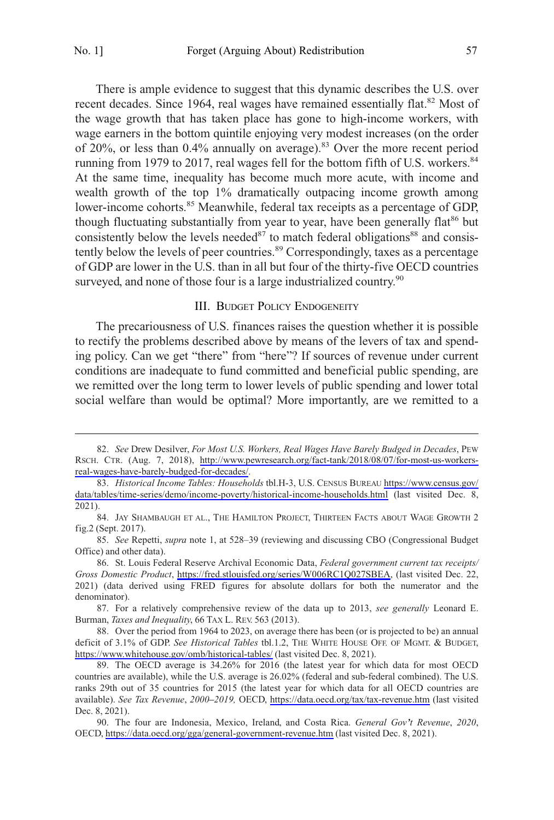<span id="page-16-0"></span>

There is ample evidence to suggest that this dynamic describes the U.S. over recent decades. Since 1964, real wages have remained essentially flat.<sup>82</sup> Most of the wage growth that has taken place has gone to high-income workers, with wage earners in the bottom quintile enjoying very modest increases (on the order of 20%, or less than 0.4% annually on average).<sup>83</sup> Over the more recent period running from 1979 to 2017, real wages fell for the bottom fifth of U.S. workers.<sup>84</sup> At the same time, inequality has become much more acute, with income and wealth growth of the top 1% dramatically outpacing income growth among lower-income cohorts.<sup>85</sup> Meanwhile, federal tax receipts as a percentage of GDP, though fluctuating substantially from year to year, have been generally flat<sup>86</sup> but consistently below the levels needed $87$  to match federal obligations $88$  and consistently below the levels of peer countries.<sup>89</sup> Correspondingly, taxes as a percentage of GDP are lower in the U.S. than in all but four of the thirty-five OECD countries surveyed, and none of those four is a large industrialized country.<sup>90</sup>

#### III. BUDGET POLICY ENDOGENEITY

The precariousness of U.S. finances raises the question whether it is possible to rectify the problems described above by means of the levers of tax and spending policy. Can we get "there" from "here"? If sources of revenue under current conditions are inadequate to fund committed and beneficial public spending, are we remitted over the long term to lower levels of public spending and lower total social welfare than would be optimal? More importantly, are we remitted to a

87. For a relatively comprehensive review of the data up to 2013, *see generally* Leonard E. Burman, *Taxes and Inequality*, 66 TAX L. REV. 563 (2013).

*See* Drew Desilver, *For Most U.S. Workers, Real Wages Have Barely Budged in Decades*, PEW 82. RSCH. CTR. (Aug. 7, 2018), [http://www.pewresearch.org/fact-tank/2018/08/07/for-most-us-workers](http://www.pewresearch.org/fact-tank/2018/08/07/for-most-us-workers-real-wages-have-barely-budged-for-decades/)[real-wages-have-barely-budged-for-decades/](http://www.pewresearch.org/fact-tank/2018/08/07/for-most-us-workers-real-wages-have-barely-budged-for-decades/).

*Historical Income Tables: Households* tbl.H-3, U.S. CENSUS BUREAU [https://www.census.gov/](https://www.census.gov/data/tables/time-series/demo/income-poverty/historical-income-households.html)  83. [data/tables/time-series/demo/income-poverty/historical-income-households.html](https://www.census.gov/data/tables/time-series/demo/income-poverty/historical-income-households.html) (last visited Dec. 8, 2021).

<sup>84.</sup> JAY SHAMBAUGH ET AL., THE HAMILTON PROJECT, THIRTEEN FACTS ABOUT WAGE GROWTH 2 fig.2 (Sept. 2017).

<sup>85.</sup> *See* Repetti, *supra* note 1, at 528–39 (reviewing and discussing CBO (Congressional Budget Office) and other data).

St. Louis Federal Reserve Archival Economic Data, *Federal government current tax receipts/*  86. *Gross Domestic Product*, [https://fred.stlouisfed.org/series/W006RC1Q027SBEA,](https://fred.stlouisfed.org/series/W006RC1Q027SBEA) (last visited Dec. 22, 2021) (data derived using FRED figures for absolute dollars for both the numerator and the denominator).

<sup>88.</sup> Over the period from 1964 to 2023, on average there has been (or is projected to be) an annual deficit of 3.1% of GDP. *See Historical Tables* tbl.1.2, THE WHITE HOUSE OFF. OF MGMT. & BUDGET, <https://www.whitehouse.gov/omb/historical-tables/> (last visited Dec. 8, 2021).

The OECD average is 34.26% for 2016 (the latest year for which data for most OECD 89. countries are available), while the U.S. average is 26.02% (federal and sub-federal combined). The U.S. ranks 29th out of 35 countries for 2015 (the latest year for which data for all OECD countries are available). *See Tax Revenue*, *2000–2019,* OECD, <https://data.oecd.org/tax/tax-revenue.htm> (last visited Dec. 8, 2021).

The four are Indonesia, Mexico, Ireland, and Costa Rica. *General Gov't Revenue*, *2020*, 90. OECD, <https://data.oecd.org/gga/general-government-revenue.htm>(last visited Dec. 8, 2021).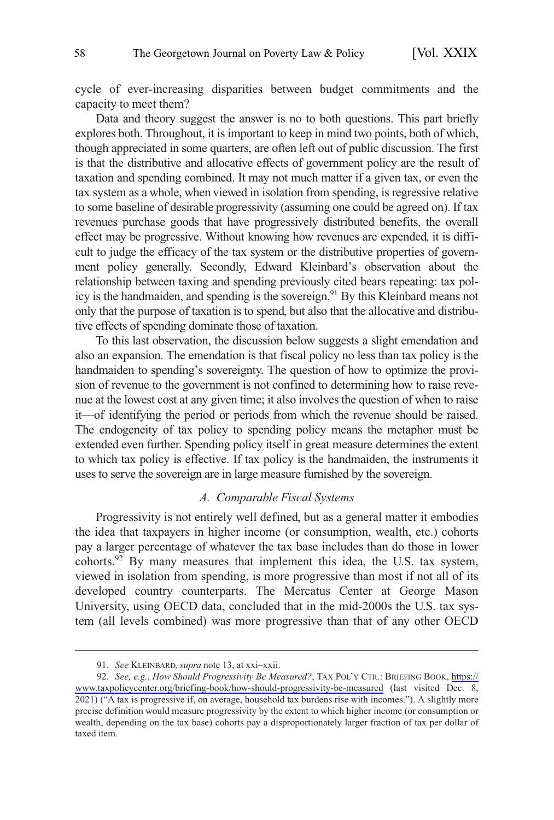<span id="page-17-0"></span>cycle of ever-increasing disparities between budget commitments and the capacity to meet them?

Data and theory suggest the answer is no to both questions. This part briefly explores both. Throughout, it is important to keep in mind two points, both of which, though appreciated in some quarters, are often left out of public discussion. The first is that the distributive and allocative effects of government policy are the result of taxation and spending combined. It may not much matter if a given tax, or even the tax system as a whole, when viewed in isolation from spending, is regressive relative to some baseline of desirable progressivity (assuming one could be agreed on). If tax revenues purchase goods that have progressively distributed benefits, the overall effect may be progressive. Without knowing how revenues are expended, it is difficult to judge the efficacy of the tax system or the distributive properties of government policy generally. Secondly, Edward Kleinbard's observation about the relationship between taxing and spending previously cited bears repeating: tax policy is the handmaiden, and spending is the sovereign.<sup>91</sup> By this Kleinbard means not only that the purpose of taxation is to spend, but also that the allocative and distributive effects of spending dominate those of taxation.

To this last observation, the discussion below suggests a slight emendation and also an expansion. The emendation is that fiscal policy no less than tax policy is the handmaiden to spending's sovereignty. The question of how to optimize the provision of revenue to the government is not confined to determining how to raise revenue at the lowest cost at any given time; it also involves the question of when to raise it—of identifying the period or periods from which the revenue should be raised. The endogeneity of tax policy to spending policy means the metaphor must be extended even further. Spending policy itself in great measure determines the extent to which tax policy is effective. If tax policy is the handmaiden, the instruments it uses to serve the sovereign are in large measure furnished by the sovereign.

# *A. Comparable Fiscal Systems*

Progressivity is not entirely well defined, but as a general matter it embodies the idea that taxpayers in higher income (or consumption, wealth, etc.) cohorts pay a larger percentage of whatever the tax base includes than do those in lower cohorts.<sup>92</sup> By many measures that implement this idea, the U.S. tax system, viewed in isolation from spending, is more progressive than most if not all of its developed country counterparts. The Mercatus Center at George Mason University, using OECD data, concluded that in the mid-2000s the U.S. tax system (all levels combined) was more progressive than that of any other OECD

<sup>91.</sup> *See* KLEINBARD, *supra* note 13, at xxi–xxii.

<sup>92.</sup> *See, e.g.*, *How Should Progressivity Be Measured?*, TAX POL'Y CTR.: BRIEFING BOOK, [https://](https://www.taxpolicycenter.org/briefing-book/how-should-progressivity-be-measured)  [www.taxpolicycenter.org/briefing-book/how-should-progressivity-be-measured](https://www.taxpolicycenter.org/briefing-book/how-should-progressivity-be-measured) (last visited Dec. 8, 2021) ("A tax is progressive if, on average, household tax burdens rise with incomes."). A slightly more precise definition would measure progressivity by the extent to which higher income (or consumption or wealth, depending on the tax base) cohorts pay a disproportionately larger fraction of tax per dollar of taxed item.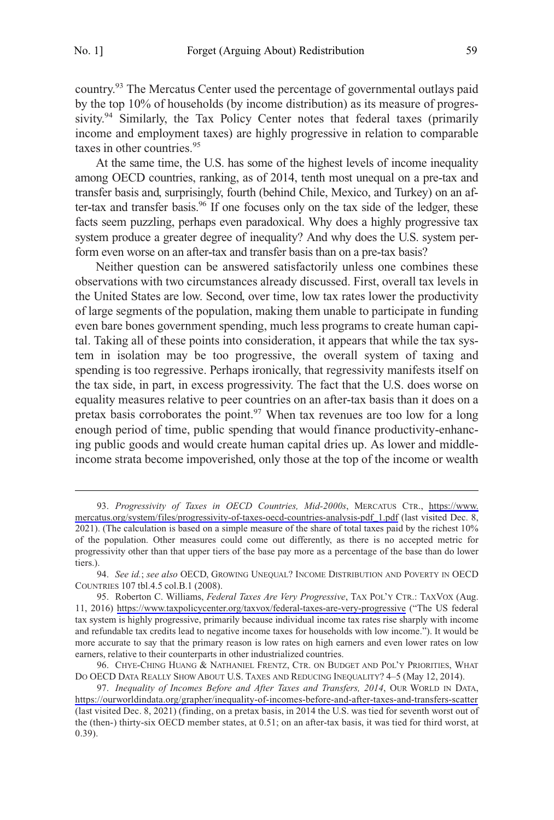country.<sup>93</sup> The Mercatus Center used the percentage of governmental outlays paid by the top 10% of households (by income distribution) as its measure of progressivity.<sup>94</sup> Similarly, the Tax Policy Center notes that federal taxes (primarily income and employment taxes) are highly progressive in relation to comparable taxes in other countries.<sup>95</sup>

At the same time, the U.S. has some of the highest levels of income inequality among OECD countries, ranking, as of 2014, tenth most unequal on a pre-tax and transfer basis and, surprisingly, fourth (behind Chile, Mexico, and Turkey) on an after-tax and transfer basis.<sup>96</sup> If one focuses only on the tax side of the ledger, these facts seem puzzling, perhaps even paradoxical. Why does a highly progressive tax system produce a greater degree of inequality? And why does the U.S. system perform even worse on an after-tax and transfer basis than on a pre-tax basis?

Neither question can be answered satisfactorily unless one combines these observations with two circumstances already discussed. First, overall tax levels in the United States are low. Second, over time, low tax rates lower the productivity of large segments of the population, making them unable to participate in funding even bare bones government spending, much less programs to create human capital. Taking all of these points into consideration, it appears that while the tax system in isolation may be too progressive, the overall system of taxing and spending is too regressive. Perhaps ironically, that regressivity manifests itself on the tax side, in part, in excess progressivity. The fact that the U.S. does worse on equality measures relative to peer countries on an after-tax basis than it does on a pretax basis corroborates the point. $97$  When tax revenues are too low for a long enough period of time, public spending that would finance productivity-enhancing public goods and would create human capital dries up. As lower and middleincome strata become impoverished, only those at the top of the income or wealth

*Progressivity of Taxes in OECD Countries, Mid-2000s*, MERCATUS CTR., [https://www.](https://www.mercatus.org/system/files/progressivity-of-taxes-oecd-countries-analysis-pdf_1.pdf) 93. [mercatus.org/system/files/progressivity-of-taxes-oecd-countries-analysis-pdf\\_1.pdf](https://www.mercatus.org/system/files/progressivity-of-taxes-oecd-countries-analysis-pdf_1.pdf) (last visited Dec. 8, 2021). (The calculation is based on a simple measure of the share of total taxes paid by the richest 10% of the population. Other measures could come out differently, as there is no accepted metric for progressivity other than that upper tiers of the base pay more as a percentage of the base than do lower tiers.).

<sup>94.</sup> *See id.*; *see also* OECD, GROWING UNEQUAL? INCOME DISTRIBUTION AND POVERTY IN OECD COUNTRIES 107 tbl.4.5 col.B.1 (2008).

<sup>95.</sup> Roberton C. Williams, *Federal Taxes Are Very Progressive*, TAX POL'Y CTR.: TAXVOX (Aug. 11, 2016) <https://www.taxpolicycenter.org/taxvox/federal-taxes-are-very-progressive> ("The US federal tax system is highly progressive, primarily because individual income tax rates rise sharply with income and refundable tax credits lead to negative income taxes for households with low income."). It would be more accurate to say that the primary reason is low rates on high earners and even lower rates on low earners, relative to their counterparts in other industrialized countries.

<sup>96.</sup> CHYE-CHING HUANG & NATHANIEL FRENTZ, CTR. ON BUDGET AND POL'Y PRIORITIES, WHAT DO OECD DATA REALLY SHOW ABOUT U.S. TAXES AND REDUCING INEQUALITY? 4–5 (May 12, 2014).

*Inequality of Incomes Before and After Taxes and Transfers, 2014*, OUR WORLD IN DATA, 97. <https://ourworldindata.org/grapher/inequality-of-incomes-before-and-after-taxes-and-transfers-scatter> (last visited Dec. 8, 2021) (finding, on a pretax basis, in 2014 the U.S. was tied for seventh worst out of the (then-) thirty-six OECD member states, at 0.51; on an after-tax basis, it was tied for third worst, at 0.39).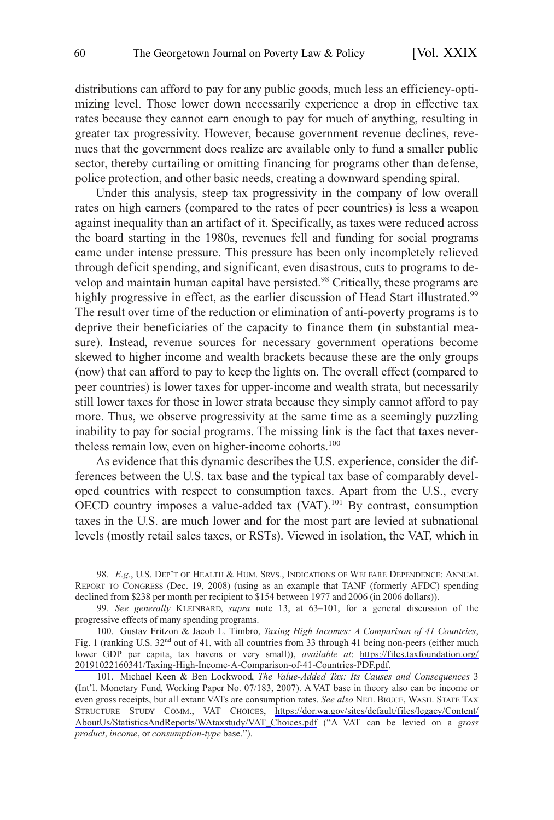distributions can afford to pay for any public goods, much less an efficiency-optimizing level. Those lower down necessarily experience a drop in effective tax rates because they cannot earn enough to pay for much of anything, resulting in greater tax progressivity. However, because government revenue declines, revenues that the government does realize are available only to fund a smaller public sector, thereby curtailing or omitting financing for programs other than defense, police protection, and other basic needs, creating a downward spending spiral.

Under this analysis, steep tax progressivity in the company of low overall rates on high earners (compared to the rates of peer countries) is less a weapon against inequality than an artifact of it. Specifically, as taxes were reduced across the board starting in the 1980s, revenues fell and funding for social programs came under intense pressure. This pressure has been only incompletely relieved through deficit spending, and significant, even disastrous, cuts to programs to develop and maintain human capital have persisted.<sup>98</sup> Critically, these programs are highly progressive in effect, as the earlier discussion of Head Start illustrated.<sup>99</sup> The result over time of the reduction or elimination of anti-poverty programs is to deprive their beneficiaries of the capacity to finance them (in substantial measure). Instead, revenue sources for necessary government operations become skewed to higher income and wealth brackets because these are the only groups (now) that can afford to pay to keep the lights on. The overall effect (compared to peer countries) is lower taxes for upper-income and wealth strata, but necessarily still lower taxes for those in lower strata because they simply cannot afford to pay more. Thus, we observe progressivity at the same time as a seemingly puzzling inability to pay for social programs. The missing link is the fact that taxes nevertheless remain low, even on higher-income cohorts.<sup>100</sup>

As evidence that this dynamic describes the U.S. experience, consider the differences between the U.S. tax base and the typical tax base of comparably developed countries with respect to consumption taxes. Apart from the U.S., every OECD country imposes a value-added tax (VAT).<sup>101</sup> By contrast, consumption taxes in the U.S. are much lower and for the most part are levied at subnational levels (mostly retail sales taxes, or RSTs). Viewed in isolation, the VAT, which in

<sup>98.</sup> *E.g.*, U.S. DEP'T OF HEALTH & HUM. SRVS., INDICATIONS OF WELFARE DEPENDENCE: ANNUAL REPORT TO CONGRESS (Dec. 19, 2008) (using as an example that TANF (formerly AFDC) spending declined from \$238 per month per recipient to \$154 between 1977 and 2006 (in 2006 dollars)).

<sup>99.</sup> *See generally* KLEINBARD, *supra* note 13, at 63–101, for a general discussion of the progressive effects of many spending programs.

<sup>100.</sup> Gustav Fritzon & Jacob L. Timbro, *Taxing High Incomes: A Comparison of 41 Countries*, Fig. 1 (ranking U.S. 32<sup>nd</sup> out of 41, with all countries from 33 through 41 being non-peers (either much lower GDP per capita, tax havens or very small)), *available at*: [https://files.taxfoundation.org/](https://files.taxfoundation.org/20191022160341/Taxing-High-Income-A-Comparison-of-41-Countries-PDF.pdf) [20191022160341/Taxing-High-Income-A-Comparison-of-41-Countries-PDF.pdf.](https://files.taxfoundation.org/20191022160341/Taxing-High-Income-A-Comparison-of-41-Countries-PDF.pdf)

<sup>101.</sup> Michael Keen & Ben Lockwood, *The Value-Added Tax: Its Causes and Consequences* 3 (Int'l. Monetary Fund, Working Paper No. 07/183, 2007). A VAT base in theory also can be income or even gross receipts, but all extant VATs are consumption rates. *See also* NEIL BRUCE, WASH. STATE TAX STRUCTURE STUDY COMM., VAT CHOICES, [https://dor.wa.gov/sites/default/files/legacy/Content/](https://dor.wa.gov/sites/default/files/legacy/Content/AboutUs/StatisticsAndReports/WAtaxstudy/VAT_Choices.pdf)  [AboutUs/StatisticsAndReports/WAtaxstudy/VAT\\_Choices.pdf](https://dor.wa.gov/sites/default/files/legacy/Content/AboutUs/StatisticsAndReports/WAtaxstudy/VAT_Choices.pdf) ("A VAT can be levied on a *gross product*, *income*, or *consumption-type* base.").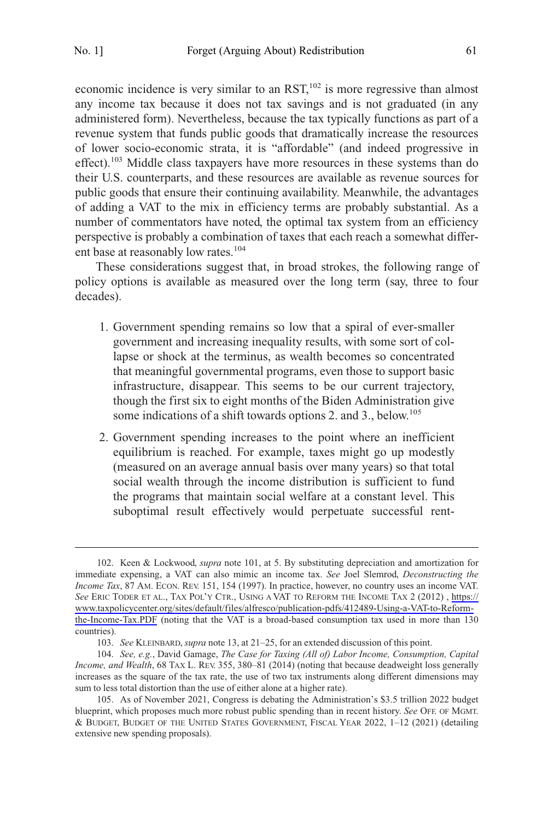economic incidence is very similar to an  $RST$ ,<sup>102</sup> is more regressive than almost any income tax because it does not tax savings and is not graduated (in any administered form). Nevertheless, because the tax typically functions as part of a revenue system that funds public goods that dramatically increase the resources of lower socio-economic strata, it is "affordable" (and indeed progressive in effect).<sup>103</sup> Middle class taxpayers have more resources in these systems than do their U.S. counterparts, and these resources are available as revenue sources for public goods that ensure their continuing availability. Meanwhile, the advantages of adding a VAT to the mix in efficiency terms are probably substantial. As a number of commentators have noted, the optimal tax system from an efficiency perspective is probably a combination of taxes that each reach a somewhat different base at reasonably low rates.<sup>104</sup>

These considerations suggest that, in broad strokes, the following range of policy options is available as measured over the long term (say, three to four decades).

- 1. Government spending remains so low that a spiral of ever-smaller government and increasing inequality results, with some sort of collapse or shock at the terminus, as wealth becomes so concentrated that meaningful governmental programs, even those to support basic infrastructure, disappear. This seems to be our current trajectory, though the first six to eight months of the Biden Administration give some indications of a shift towards options 2, and 3,, below.<sup>105</sup>
- 2. Government spending increases to the point where an inefficient equilibrium is reached. For example, taxes might go up modestly (measured on an average annual basis over many years) so that total social wealth through the income distribution is sufficient to fund the programs that maintain social welfare at a constant level. This suboptimal result effectively would perpetuate successful rent-

<sup>102.</sup> Keen & Lockwood, *supra* note 101, at 5. By substituting depreciation and amortization for immediate expensing, a VAT can also mimic an income tax. *See* Joel Slemrod, *Deconstructing the Income Tax*, 87 AM. ECON. REV. 151, 154 (1997). In practice, however, no country uses an income VAT. *See* ERIC TODER ET AL., TAX POL'Y CTR., USING A VAT TO REFORM THE INCOME TAX 2 (2012) , [https://](https://www.taxpolicycenter.org/sites/default/files/alfresco/publication-pdfs/412489-Using-a-VAT-to-Reform-the-Income-Tax.PDF)  [www.taxpolicycenter.org/sites/default/files/alfresco/publication-pdfs/412489-Using-a-VAT-to-Reform](https://www.taxpolicycenter.org/sites/default/files/alfresco/publication-pdfs/412489-Using-a-VAT-to-Reform-the-Income-Tax.PDF)[the-Income-Tax.PDF](https://www.taxpolicycenter.org/sites/default/files/alfresco/publication-pdfs/412489-Using-a-VAT-to-Reform-the-Income-Tax.PDF) (noting that the VAT is a broad-based consumption tax used in more than 130 countries).

<sup>103.</sup> *See* KLEINBARD, *supra* note 13, at 21–25, for an extended discussion of this point.

<sup>104.</sup> *See, e.g.*, David Gamage, *The Case for Taxing (All of) Labor Income, Consumption, Capital Income, and Wealth*, 68 TAX L. REV. 355, 380–81 (2014) (noting that because deadweight loss generally increases as the square of the tax rate, the use of two tax instruments along different dimensions may sum to less total distortion than the use of either alone at a higher rate).

<sup>105.</sup> As of November 2021, Congress is debating the Administration's \$3.5 trillion 2022 budget blueprint, which proposes much more robust public spending than in recent history. *See* OFF. OF MGMT. & BUDGET, BUDGET OF THE UNITED STATES GOVERNMENT, FISCAL YEAR 2022, 1–12 (2021) (detailing extensive new spending proposals).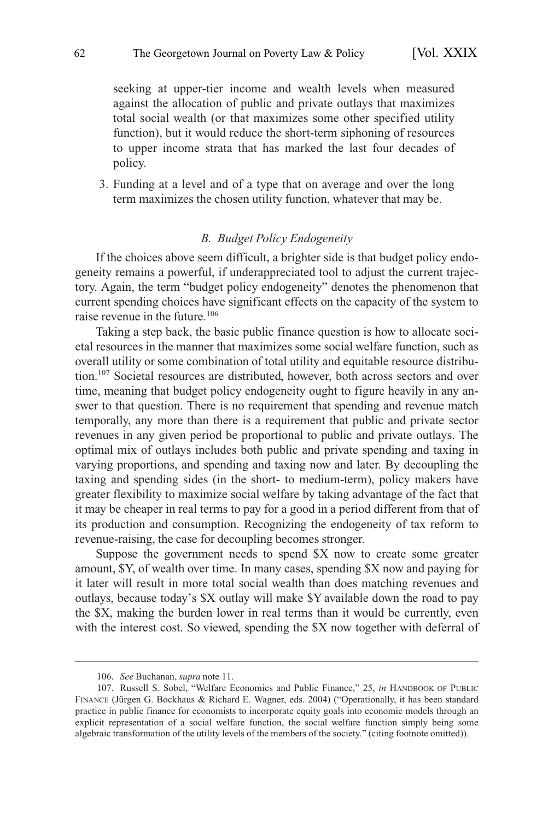<span id="page-21-0"></span>seeking at upper-tier income and wealth levels when measured against the allocation of public and private outlays that maximizes total social wealth (or that maximizes some other specified utility function), but it would reduce the short-term siphoning of resources to upper income strata that has marked the last four decades of policy.

3. Funding at a level and of a type that on average and over the long term maximizes the chosen utility function, whatever that may be.

# *B. Budget Policy Endogeneity*

If the choices above seem difficult, a brighter side is that budget policy endogeneity remains a powerful, if underappreciated tool to adjust the current trajectory. Again, the term "budget policy endogeneity" denotes the phenomenon that current spending choices have significant effects on the capacity of the system to raise revenue in the future.<sup>106</sup>

Taking a step back, the basic public finance question is how to allocate societal resources in the manner that maximizes some social welfare function, such as overall utility or some combination of total utility and equitable resource distribution.107 Societal resources are distributed, however, both across sectors and over time, meaning that budget policy endogeneity ought to figure heavily in any answer to that question. There is no requirement that spending and revenue match temporally, any more than there is a requirement that public and private sector revenues in any given period be proportional to public and private outlays. The optimal mix of outlays includes both public and private spending and taxing in varying proportions, and spending and taxing now and later. By decoupling the taxing and spending sides (in the short- to medium-term), policy makers have greater flexibility to maximize social welfare by taking advantage of the fact that it may be cheaper in real terms to pay for a good in a period different from that of its production and consumption. Recognizing the endogeneity of tax reform to revenue-raising, the case for decoupling becomes stronger.

Suppose the government needs to spend \$X now to create some greater amount, \$Y, of wealth over time. In many cases, spending \$X now and paying for it later will result in more total social wealth than does matching revenues and outlays, because today's \$X outlay will make \$Y available down the road to pay the \$X, making the burden lower in real terms than it would be currently, even with the interest cost. So viewed, spending the \$X now together with deferral of

<sup>106.</sup> *See* Buchanan, *supra* note 11.

<sup>107.</sup> Russell S. Sobel, "Welfare Economics and Public Finance," 25, *in* HANDBOOK OF PUBLIC FINANCE (Jürgen G. Bockhaus & Richard E. Wagner, eds. 2004) ("Operationally, it has been standard practice in public finance for economists to incorporate equity goals into economic models through an explicit representation of a social welfare function, the social welfare function simply being some algebraic transformation of the utility levels of the members of the society." (citing footnote omitted)).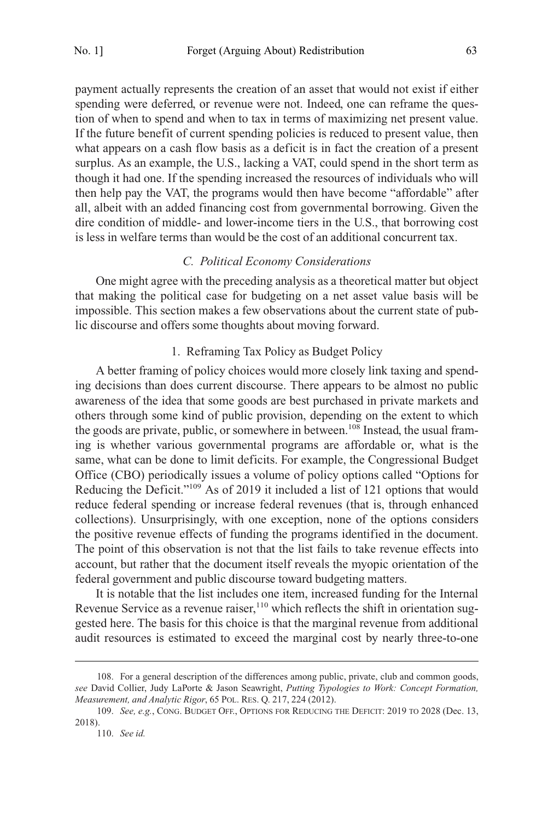<span id="page-22-0"></span>payment actually represents the creation of an asset that would not exist if either spending were deferred, or revenue were not. Indeed, one can reframe the question of when to spend and when to tax in terms of maximizing net present value. If the future benefit of current spending policies is reduced to present value, then what appears on a cash flow basis as a deficit is in fact the creation of a present surplus. As an example, the U.S., lacking a VAT, could spend in the short term as though it had one. If the spending increased the resources of individuals who will then help pay the VAT, the programs would then have become "affordable" after all, albeit with an added financing cost from governmental borrowing. Given the dire condition of middle- and lower-income tiers in the U.S., that borrowing cost is less in welfare terms than would be the cost of an additional concurrent tax.

# *C. Political Economy Considerations*

One might agree with the preceding analysis as a theoretical matter but object that making the political case for budgeting on a net asset value basis will be impossible. This section makes a few observations about the current state of public discourse and offers some thoughts about moving forward.

# 1. Reframing Tax Policy as Budget Policy

A better framing of policy choices would more closely link taxing and spending decisions than does current discourse. There appears to be almost no public awareness of the idea that some goods are best purchased in private markets and others through some kind of public provision, depending on the extent to which the goods are private, public, or somewhere in between.<sup>108</sup> Instead, the usual framing is whether various governmental programs are affordable or, what is the same, what can be done to limit deficits. For example, the Congressional Budget Office (CBO) periodically issues a volume of policy options called "Options for Reducing the Deficit."109 As of 2019 it included a list of 121 options that would reduce federal spending or increase federal revenues (that is, through enhanced collections). Unsurprisingly, with one exception, none of the options considers the positive revenue effects of funding the programs identified in the document. The point of this observation is not that the list fails to take revenue effects into account, but rather that the document itself reveals the myopic orientation of the federal government and public discourse toward budgeting matters.

It is notable that the list includes one item, increased funding for the Internal Revenue Service as a revenue raiser, $110$  which reflects the shift in orientation suggested here. The basis for this choice is that the marginal revenue from additional audit resources is estimated to exceed the marginal cost by nearly three-to-one

<sup>108.</sup> For a general description of the differences among public, private, club and common goods, *see* David Collier, Judy LaPorte & Jason Seawright, *Putting Typologies to Work: Concept Formation, Measurement, and Analytic Rigor*, 65 POL. RES. Q. 217, 224 (2012).

<sup>109.</sup> *See, e.g.*, CONG. BUDGET OFF., OPTIONS FOR REDUCING THE DEFICIT: 2019 TO 2028 (Dec. 13, 2018).

<sup>110.</sup> *See id.*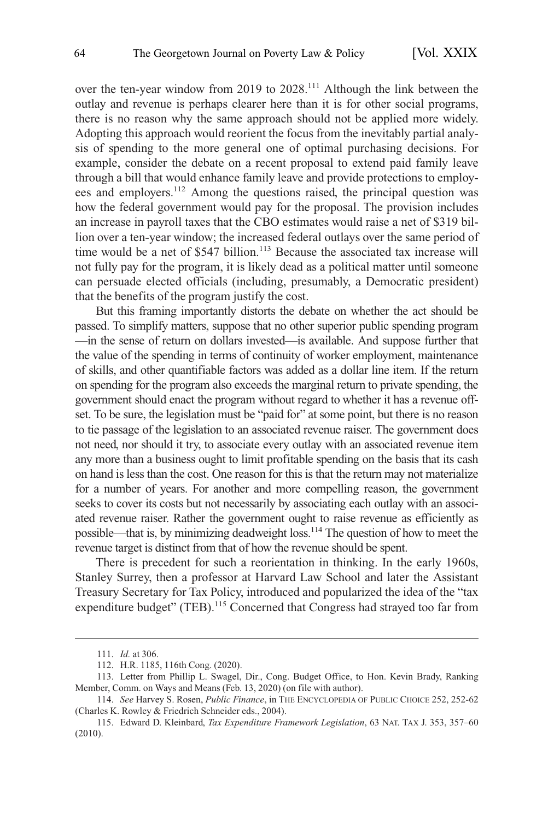over the ten-year window from 2019 to 2028.<sup>111</sup> Although the link between the outlay and revenue is perhaps clearer here than it is for other social programs, there is no reason why the same approach should not be applied more widely. Adopting this approach would reorient the focus from the inevitably partial analysis of spending to the more general one of optimal purchasing decisions. For example, consider the debate on a recent proposal to extend paid family leave through a bill that would enhance family leave and provide protections to employees and employers.112 Among the questions raised, the principal question was how the federal government would pay for the proposal. The provision includes an increase in payroll taxes that the CBO estimates would raise a net of \$319 billion over a ten-year window; the increased federal outlays over the same period of time would be a net of \$547 billion.<sup>113</sup> Because the associated tax increase will not fully pay for the program, it is likely dead as a political matter until someone can persuade elected officials (including, presumably, a Democratic president) that the benefits of the program justify the cost.

But this framing importantly distorts the debate on whether the act should be passed. To simplify matters, suppose that no other superior public spending program —in the sense of return on dollars invested—is available. And suppose further that the value of the spending in terms of continuity of worker employment, maintenance of skills, and other quantifiable factors was added as a dollar line item. If the return on spending for the program also exceeds the marginal return to private spending, the government should enact the program without regard to whether it has a revenue offset. To be sure, the legislation must be "paid for" at some point, but there is no reason to tie passage of the legislation to an associated revenue raiser. The government does not need, nor should it try, to associate every outlay with an associated revenue item any more than a business ought to limit profitable spending on the basis that its cash on hand is less than the cost. One reason for this is that the return may not materialize for a number of years. For another and more compelling reason, the government seeks to cover its costs but not necessarily by associating each outlay with an associated revenue raiser. Rather the government ought to raise revenue as efficiently as possible—that is, by minimizing deadweight loss.114 The question of how to meet the revenue target is distinct from that of how the revenue should be spent.

There is precedent for such a reorientation in thinking. In the early 1960s, Stanley Surrey, then a professor at Harvard Law School and later the Assistant Treasury Secretary for Tax Policy, introduced and popularized the idea of the "tax expenditure budget" (TEB).<sup>115</sup> Concerned that Congress had strayed too far from

<sup>111.</sup> *Id.* at 306.

<sup>112.</sup> H.R. 1185, 116th Cong. (2020).

<sup>113.</sup> Letter from Phillip L. Swagel, Dir., Cong. Budget Office, to Hon. Kevin Brady, Ranking Member, Comm. on Ways and Means (Feb. 13, 2020) (on file with author).

<sup>114.</sup> *See* Harvey S. Rosen, *Public Finance*, in THE ENCYCLOPEDIA OF PUBLIC CHOICE 252, 252-62 (Charles K. Rowley & Friedrich Schneider eds., 2004).

<sup>115.</sup> Edward D. Kleinbard, *Tax Expenditure Framework Legislation*, 63 NAT. TAX J. 353, 357–60 (2010).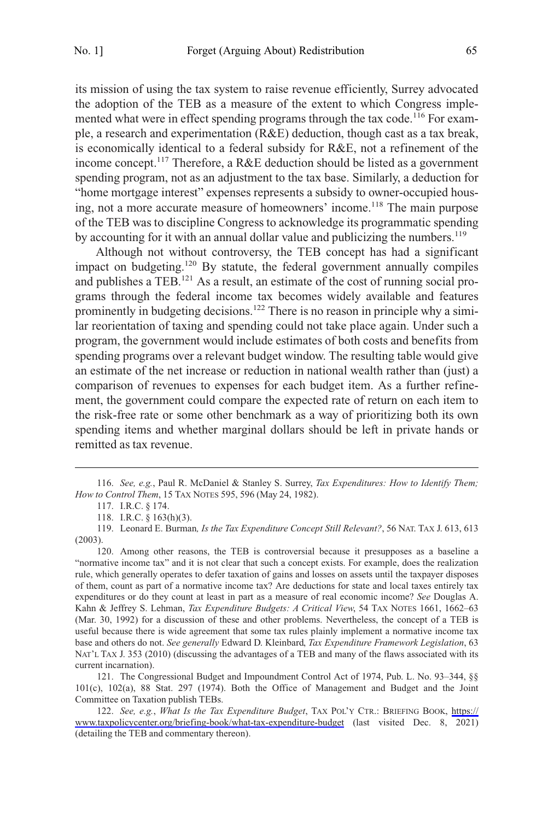its mission of using the tax system to raise revenue efficiently, Surrey advocated the adoption of the TEB as a measure of the extent to which Congress implemented what were in effect spending programs through the tax code.<sup>116</sup> For example, a research and experimentation (R&E) deduction, though cast as a tax break, is economically identical to a federal subsidy for R&E, not a refinement of the income concept.<sup>117</sup> Therefore, a R&E deduction should be listed as a government spending program, not as an adjustment to the tax base. Similarly, a deduction for "home mortgage interest" expenses represents a subsidy to owner-occupied housing, not a more accurate measure of homeowners' income.<sup>118</sup> The main purpose of the TEB was to discipline Congress to acknowledge its programmatic spending by accounting for it with an annual dollar value and publicizing the numbers.<sup>119</sup>

Although not without controversy, the TEB concept has had a significant impact on budgeting.<sup>120</sup> By statute, the federal government annually compiles and publishes a TEB.<sup>121</sup> As a result, an estimate of the cost of running social programs through the federal income tax becomes widely available and features prominently in budgeting decisions.<sup>122</sup> There is no reason in principle why a similar reorientation of taxing and spending could not take place again. Under such a program, the government would include estimates of both costs and benefits from spending programs over a relevant budget window. The resulting table would give an estimate of the net increase or reduction in national wealth rather than (just) a comparison of revenues to expenses for each budget item. As a further refinement, the government could compare the expected rate of return on each item to the risk-free rate or some other benchmark as a way of prioritizing both its own spending items and whether marginal dollars should be left in private hands or remitted as tax revenue.

<sup>116.</sup> *See, e.g.*, Paul R. McDaniel & Stanley S. Surrey, *Tax Expenditures: How to Identify Them; How to Control Them*, 15 TAX NOTES 595, 596 (May 24, 1982).

<sup>117.</sup> I.R.C. § 174.

<sup>118.</sup> I.R.C. § 163(h)(3).

<sup>119.</sup> Leonard E. Burman*, Is the Tax Expenditure Concept Still Relevant?*, 56 NAT. TAX J. 613, 613 (2003).

<sup>120.</sup> Among other reasons, the TEB is controversial because it presupposes as a baseline a "normative income tax" and it is not clear that such a concept exists. For example, does the realization rule, which generally operates to defer taxation of gains and losses on assets until the taxpayer disposes of them, count as part of a normative income tax? Are deductions for state and local taxes entirely tax expenditures or do they count at least in part as a measure of real economic income? *See* Douglas A. Kahn & Jeffrey S. Lehman, *Tax Expenditure Budgets: A Critical View*, 54 TAX NOTES 1661, 1662–63 (Mar. 30, 1992) for a discussion of these and other problems. Nevertheless, the concept of a TEB is useful because there is wide agreement that some tax rules plainly implement a normative income tax base and others do not. *See generally* Edward D. Kleinbard, *Tax Expenditure Framework Legislation*, 63 NAT'L TAX J. 353 (2010) (discussing the advantages of a TEB and many of the flaws associated with its current incarnation).

<sup>121.</sup> The Congressional Budget and Impoundment Control Act of 1974, Pub. L. No. 93–344, §§ 101(c), 102(a), 88 Stat. 297 (1974). Both the Office of Management and Budget and the Joint Committee on Taxation publish TEBs.

*See, e.g.*, *What Is the Tax Expenditure Budget*, TAX POL'Y CTR.: BRIEFING BOOK, [https://](https://www.taxpolicycenter.org/briefing-book/what-tax-expenditure-budget)  122. [www.taxpolicycenter.org/briefing-book/what-tax-expenditure-budget](https://www.taxpolicycenter.org/briefing-book/what-tax-expenditure-budget) (last visited Dec. 8, 2021) (detailing the TEB and commentary thereon).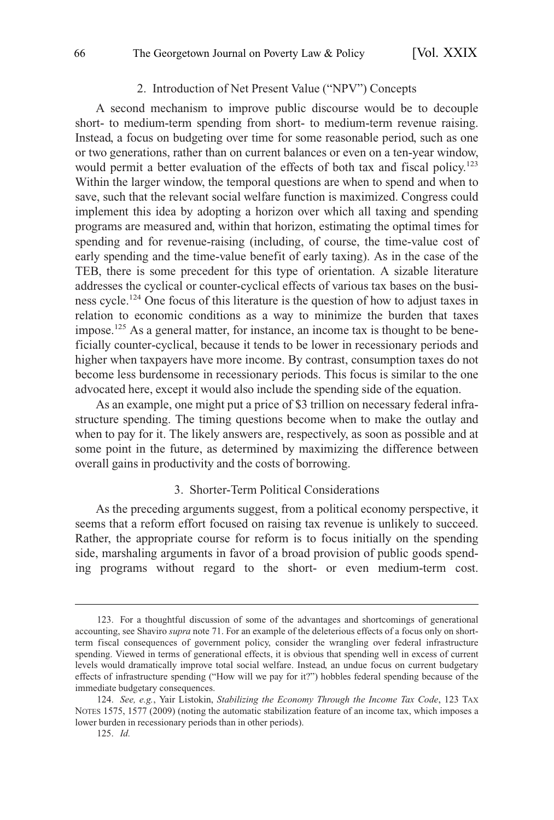# 2. Introduction of Net Present Value ("NPV") Concepts

<span id="page-25-0"></span>A second mechanism to improve public discourse would be to decouple short- to medium-term spending from short- to medium-term revenue raising. Instead, a focus on budgeting over time for some reasonable period, such as one or two generations, rather than on current balances or even on a ten-year window, would permit a better evaluation of the effects of both tax and fiscal policy.<sup>123</sup> Within the larger window, the temporal questions are when to spend and when to save, such that the relevant social welfare function is maximized. Congress could implement this idea by adopting a horizon over which all taxing and spending programs are measured and, within that horizon, estimating the optimal times for spending and for revenue-raising (including, of course, the time-value cost of early spending and the time-value benefit of early taxing). As in the case of the TEB, there is some precedent for this type of orientation. A sizable literature addresses the cyclical or counter-cyclical effects of various tax bases on the business cycle.124 One focus of this literature is the question of how to adjust taxes in relation to economic conditions as a way to minimize the burden that taxes impose.<sup>125</sup> As a general matter, for instance, an income tax is thought to be beneficially counter-cyclical, because it tends to be lower in recessionary periods and higher when taxpayers have more income. By contrast, consumption taxes do not become less burdensome in recessionary periods. This focus is similar to the one advocated here, except it would also include the spending side of the equation.

As an example, one might put a price of \$3 trillion on necessary federal infrastructure spending. The timing questions become when to make the outlay and when to pay for it. The likely answers are, respectively, as soon as possible and at some point in the future, as determined by maximizing the difference between overall gains in productivity and the costs of borrowing.

#### 3. Shorter-Term Political Considerations

As the preceding arguments suggest, from a political economy perspective, it seems that a reform effort focused on raising tax revenue is unlikely to succeed. Rather, the appropriate course for reform is to focus initially on the spending side, marshaling arguments in favor of a broad provision of public goods spending programs without regard to the short- or even medium-term cost.

<sup>123.</sup> For a thoughtful discussion of some of the advantages and shortcomings of generational accounting, see Shaviro *supra* note 71. For an example of the deleterious effects of a focus only on shortterm fiscal consequences of government policy, consider the wrangling over federal infrastructure spending. Viewed in terms of generational effects, it is obvious that spending well in excess of current levels would dramatically improve total social welfare. Instead, an undue focus on current budgetary effects of infrastructure spending ("How will we pay for it?") hobbles federal spending because of the immediate budgetary consequences.

<sup>124.</sup> *See, e.g.*, Yair Listokin, *Stabilizing the Economy Through the Income Tax Code*, 123 TAX NOTES 1575, 1577 (2009) (noting the automatic stabilization feature of an income tax, which imposes a lower burden in recessionary periods than in other periods).

<sup>125.</sup> *Id.*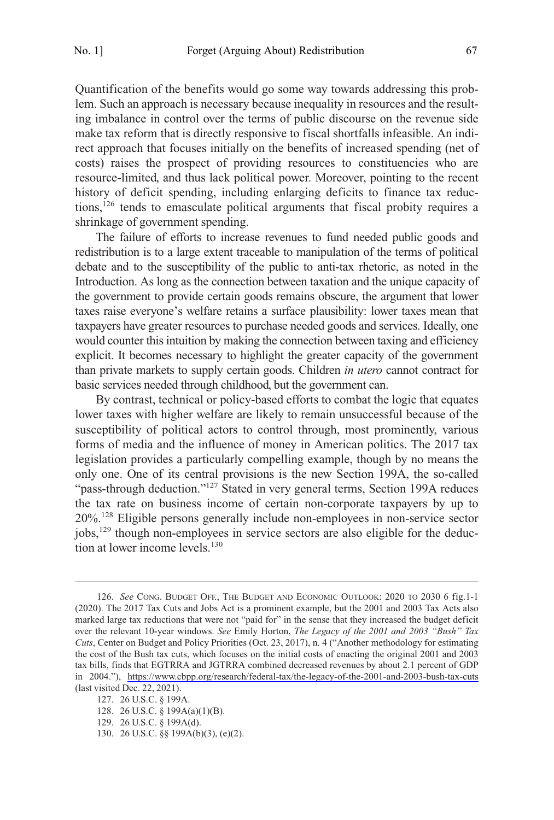Quantification of the benefits would go some way towards addressing this problem. Such an approach is necessary because inequality in resources and the resulting imbalance in control over the terms of public discourse on the revenue side make tax reform that is directly responsive to fiscal shortfalls infeasible. An indirect approach that focuses initially on the benefits of increased spending (net of costs) raises the prospect of providing resources to constituencies who are resource-limited, and thus lack political power. Moreover, pointing to the recent history of deficit spending, including enlarging deficits to finance tax reductions,<sup>126</sup> tends to emasculate political arguments that fiscal probity requires a shrinkage of government spending.

The failure of efforts to increase revenues to fund needed public goods and redistribution is to a large extent traceable to manipulation of the terms of political debate and to the susceptibility of the public to anti-tax rhetoric, as noted in the Introduction. As long as the connection between taxation and the unique capacity of the government to provide certain goods remains obscure, the argument that lower taxes raise everyone's welfare retains a surface plausibility: lower taxes mean that taxpayers have greater resources to purchase needed goods and services. Ideally, one would counter this intuition by making the connection between taxing and efficiency explicit. It becomes necessary to highlight the greater capacity of the government than private markets to supply certain goods. Children *in utero* cannot contract for basic services needed through childhood, but the government can.

By contrast, technical or policy-based efforts to combat the logic that equates lower taxes with higher welfare are likely to remain unsuccessful because of the susceptibility of political actors to control through, most prominently, various forms of media and the influence of money in American politics. The 2017 tax legislation provides a particularly compelling example, though by no means the only one. One of its central provisions is the new Section 199A, the so-called "pass-through deduction."<sup>127</sup> Stated in very general terms, Section 199A reduces the tax rate on business income of certain non-corporate taxpayers by up to 20%. 128 Eligible persons generally include non-employees in non-service sector jobs,<sup>129</sup> though non-employees in service sectors are also eligible for the deduction at lower income levels. $130$ 

<sup>126.</sup> See CONG. BUDGET OFF., THE BUDGET AND ECONOMIC OUTLOOK: 2020 TO 2030 6 fig.1-1 (2020). The 2017 Tax Cuts and Jobs Act is a prominent example, but the 2001 and 2003 Tax Acts also marked large tax reductions that were not "paid for" in the sense that they increased the budget deficit over the relevant 10-year windows. *See* Emily Horton, *The Legacy of the 2001 and 2003 "Bush" Tax Cuts*, Center on Budget and Policy Priorities (Oct. 23, 2017), n. 4 ("Another methodology for estimating the cost of the Bush tax cuts, which focuses on the initial costs of enacting the original 2001 and 2003 tax bills, finds that EGTRRA and JGTRRA combined decreased revenues by about 2.1 percent of GDP in 2004."), <https://www.cbpp.org/research/federal-tax/the-legacy-of-the-2001-and-2003-bush-tax-cuts> (last visited Dec. 22, 2021).

<sup>127. 26</sup> U.S.C. § 199A.

<sup>128. 26</sup> U.S.C. § 199A(a)(1)(B).

<sup>129. 26</sup> U.S.C. § 199A(d).

<sup>130. 26</sup> U.S.C. §§ 199A(b)(3), (e)(2).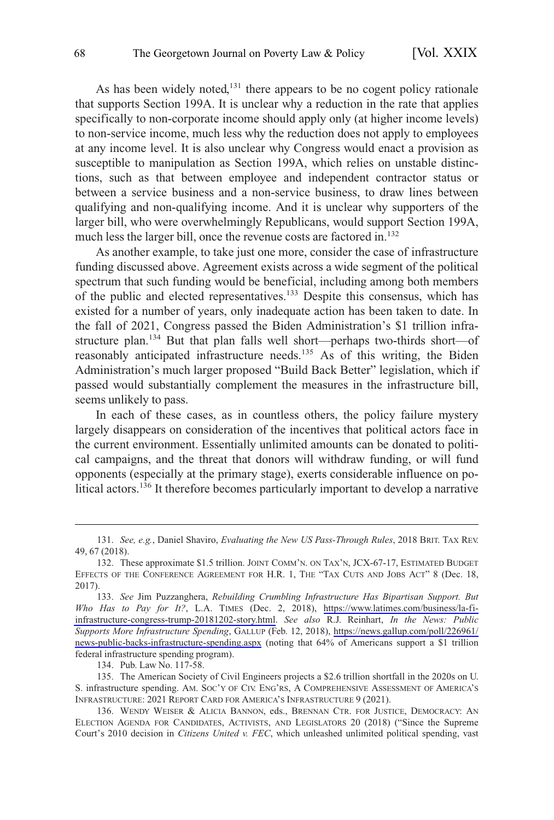As has been widely noted,<sup>131</sup> there appears to be no cogent policy rationale that supports Section 199A. It is unclear why a reduction in the rate that applies specifically to non-corporate income should apply only (at higher income levels) to non-service income, much less why the reduction does not apply to employees at any income level. It is also unclear why Congress would enact a provision as susceptible to manipulation as Section 199A, which relies on unstable distinctions, such as that between employee and independent contractor status or between a service business and a non-service business, to draw lines between qualifying and non-qualifying income. And it is unclear why supporters of the larger bill, who were overwhelmingly Republicans, would support Section 199A, much less the larger bill, once the revenue costs are factored in.<sup>132</sup>

As another example, to take just one more, consider the case of infrastructure funding discussed above. Agreement exists across a wide segment of the political spectrum that such funding would be beneficial, including among both members of the public and elected representatives.<sup>133</sup> Despite this consensus, which has existed for a number of years, only inadequate action has been taken to date. In the fall of 2021, Congress passed the Biden Administration's \$1 trillion infrastructure plan.134 But that plan falls well short—perhaps two-thirds short—of reasonably anticipated infrastructure needs.<sup>135</sup> As of this writing, the Biden Administration's much larger proposed "Build Back Better" legislation, which if passed would substantially complement the measures in the infrastructure bill, seems unlikely to pass.

In each of these cases, as in countless others, the policy failure mystery largely disappears on consideration of the incentives that political actors face in the current environment. Essentially unlimited amounts can be donated to political campaigns, and the threat that donors will withdraw funding, or will fund opponents (especially at the primary stage), exerts considerable influence on political actors.<sup>136</sup> It therefore becomes particularly important to develop a narrative

134. Pub. Law No. 117-58.

<sup>131.</sup> *See, e.g.*, Daniel Shaviro, *Evaluating the New US Pass-Through Rules*, 2018 BRIT. TAX REV. 49, 67 (2018).

<sup>132.</sup> These approximate \$1.5 trillion. JOINT COMM'N. ON TAX'N, JCX-67-17, ESTIMATED BUDGET EFFECTS OF THE CONFERENCE AGREEMENT FOR H.R. 1, THE "TAX CUTS AND JOBS ACT" 8 (Dec. 18, 2017).

*See* Jim Puzzanghera, *Rebuilding Crumbling Infrastructure Has Bipartisan Support. But*  133. *Who Has to Pay for It?*, L.A. TIMES (Dec. 2, 2018), [https://www.latimes.com/business/la-fi](https://www.latimes.com/business/la-fi-infrastructure-congress-trump-20181202-story.html)[infrastructure-congress-trump-20181202-story.html.](https://www.latimes.com/business/la-fi-infrastructure-congress-trump-20181202-story.html) *See also* R.J. Reinhart, *In the News: Public Supports More Infrastructure Spending*, GALLUP (Feb. 12, 2018), [https://news.gallup.com/poll/226961/](https://news.gallup.com/poll/226961/news-public-backs-infrastructure-spending.aspx)  [news-public-backs-infrastructure-spending.aspx](https://news.gallup.com/poll/226961/news-public-backs-infrastructure-spending.aspx) (noting that 64% of Americans support a \$1 trillion federal infrastructure spending program).

<sup>135.</sup> The American Society of Civil Engineers projects a \$2.6 trillion shortfall in the 2020s on U. S. infrastructure spending. AM. SOC'Y OF CIV. ENG'RS, A COMPREHENSIVE ASSESSMENT OF AMERICA'S INFRASTRUCTURE: 2021 REPORT CARD FOR AMERICA'S INFRASTRUCTURE 9 (2021).

<sup>136.</sup> WENDY WEISER & ALICIA BANNON, eds., BRENNAN CTR. FOR JUSTICE, DEMOCRACY: AN ELECTION AGENDA FOR CANDIDATES, ACTIVISTS, AND LEGISLATORS 20 (2018) ("Since the Supreme Court's 2010 decision in *Citizens United v. FEC*, which unleashed unlimited political spending, vast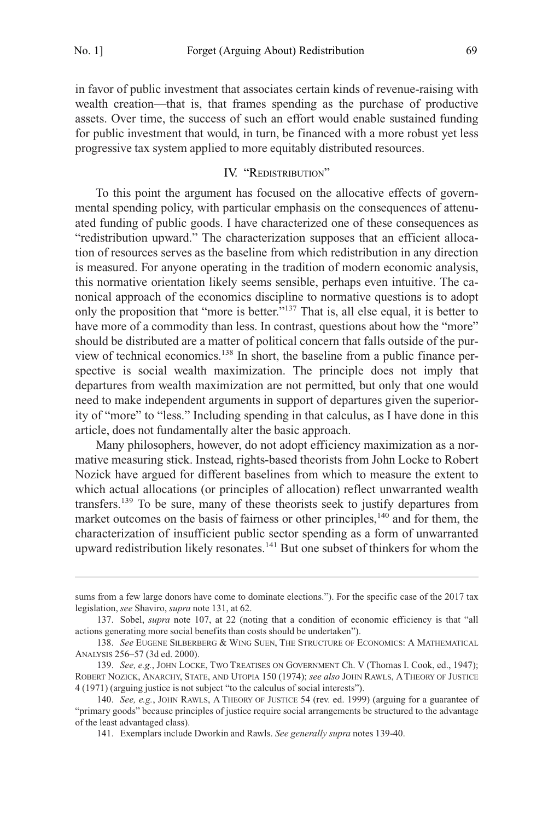<span id="page-28-0"></span>in favor of public investment that associates certain kinds of revenue-raising with wealth creation—that is, that frames spending as the purchase of productive assets. Over time, the success of such an effort would enable sustained funding for public investment that would, in turn, be financed with a more robust yet less progressive tax system applied to more equitably distributed resources.

# IV. "REDISTRIBUTION"

To this point the argument has focused on the allocative effects of governmental spending policy, with particular emphasis on the consequences of attenuated funding of public goods. I have characterized one of these consequences as "redistribution upward." The characterization supposes that an efficient allocation of resources serves as the baseline from which redistribution in any direction is measured. For anyone operating in the tradition of modern economic analysis, this normative orientation likely seems sensible, perhaps even intuitive. The canonical approach of the economics discipline to normative questions is to adopt only the proposition that "more is better."137 That is, all else equal, it is better to have more of a commodity than less. In contrast, questions about how the "more" should be distributed are a matter of political concern that falls outside of the purview of technical economics.138 In short, the baseline from a public finance perspective is social wealth maximization. The principle does not imply that departures from wealth maximization are not permitted, but only that one would need to make independent arguments in support of departures given the superiority of "more" to "less." Including spending in that calculus, as I have done in this article, does not fundamentally alter the basic approach.

Many philosophers, however, do not adopt efficiency maximization as a normative measuring stick. Instead, rights-based theorists from John Locke to Robert Nozick have argued for different baselines from which to measure the extent to which actual allocations (or principles of allocation) reflect unwarranted wealth transfers.<sup>139</sup> To be sure, many of these theorists seek to justify departures from market outcomes on the basis of fairness or other principles, $140$  and for them, the characterization of insufficient public sector spending as a form of unwarranted upward redistribution likely resonates.141 But one subset of thinkers for whom the

sums from a few large donors have come to dominate elections."). For the specific case of the 2017 tax legislation, *see* Shaviro, *supra* note 131, at 62.

<sup>137.</sup> Sobel, *supra* note 107, at 22 (noting that a condition of economic efficiency is that "all actions generating more social benefits than costs should be undertaken").

<sup>138.</sup> *See* EUGENE SILBERBERG & WING SUEN, THE STRUCTURE OF ECONOMICS: A MATHEMATICAL ANALYSIS 256–57 (3d ed. 2000).

<sup>139.</sup> *See, e.g.*, JOHN LOCKE, TWO TREATISES ON GOVERNMENT Ch. V (Thomas I. Cook, ed., 1947); ROBERT NOZICK, ANARCHY, STATE, AND UTOPIA 150 (1974); *see also* JOHN RAWLS, A THEORY OF JUSTICE 4 (1971) (arguing justice is not subject "to the calculus of social interests").

<sup>140.</sup> *See, e.g.*, JOHN RAWLS, A THEORY OF JUSTICE 54 (rev. ed. 1999) (arguing for a guarantee of "primary goods" because principles of justice require social arrangements be structured to the advantage of the least advantaged class).

<sup>141.</sup> Exemplars include Dworkin and Rawls. *See generally supra* notes 139-40.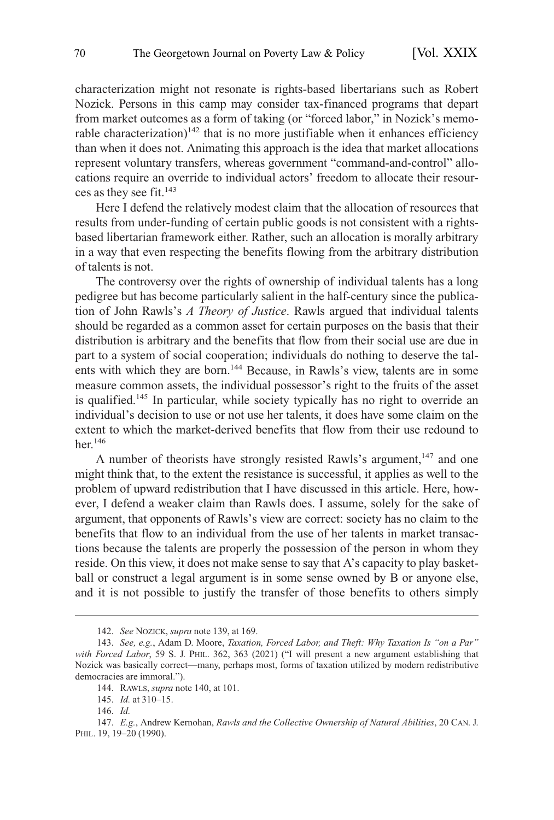characterization might not resonate is rights-based libertarians such as Robert Nozick. Persons in this camp may consider tax-financed programs that depart from market outcomes as a form of taking (or "forced labor," in Nozick's memorable characterization)<sup>142</sup> that is no more justifiable when it enhances efficiency than when it does not. Animating this approach is the idea that market allocations represent voluntary transfers, whereas government "command-and-control" allocations require an override to individual actors' freedom to allocate their resources as they see fit. $143$ 

Here I defend the relatively modest claim that the allocation of resources that results from under-funding of certain public goods is not consistent with a rightsbased libertarian framework either. Rather, such an allocation is morally arbitrary in a way that even respecting the benefits flowing from the arbitrary distribution of talents is not.

The controversy over the rights of ownership of individual talents has a long pedigree but has become particularly salient in the half-century since the publication of John Rawls's *A Theory of Justice*. Rawls argued that individual talents should be regarded as a common asset for certain purposes on the basis that their distribution is arbitrary and the benefits that flow from their social use are due in part to a system of social cooperation; individuals do nothing to deserve the talents with which they are born.<sup>144</sup> Because, in Rawls's view, talents are in some measure common assets, the individual possessor's right to the fruits of the asset is qualified.<sup>145</sup> In particular, while society typically has no right to override an individual's decision to use or not use her talents, it does have some claim on the extent to which the market-derived benefits that flow from their use redound to her.146

A number of theorists have strongly resisted Rawls's argument,  $147$  and one might think that, to the extent the resistance is successful, it applies as well to the problem of upward redistribution that I have discussed in this article. Here, however, I defend a weaker claim than Rawls does. I assume, solely for the sake of argument, that opponents of Rawls's view are correct: society has no claim to the benefits that flow to an individual from the use of her talents in market transactions because the talents are properly the possession of the person in whom they reside. On this view, it does not make sense to say that A's capacity to play basketball or construct a legal argument is in some sense owned by B or anyone else, and it is not possible to justify the transfer of those benefits to others simply

<sup>142.</sup> *See* NOZICK, *supra* note 139, at 169.

<sup>143.</sup> *See, e.g.*, Adam D. Moore, *Taxation, Forced Labor, and Theft: Why Taxation Is "on a Par" with Forced Labor*, 59 S. J. PHIL. 362, 363 (2021) ("I will present a new argument establishing that Nozick was basically correct—many, perhaps most, forms of taxation utilized by modern redistributive democracies are immoral.").

<sup>144.</sup> RAWLS, *supra* note 140, at 101.

<sup>145.</sup> *Id.* at 310–15.

<sup>146.</sup> *Id.* 

<sup>147.</sup> *E.g.*, Andrew Kernohan, *Rawls and the Collective Ownership of Natural Abilities*, 20 CAN. J. PHIL. 19, 19–20 (1990).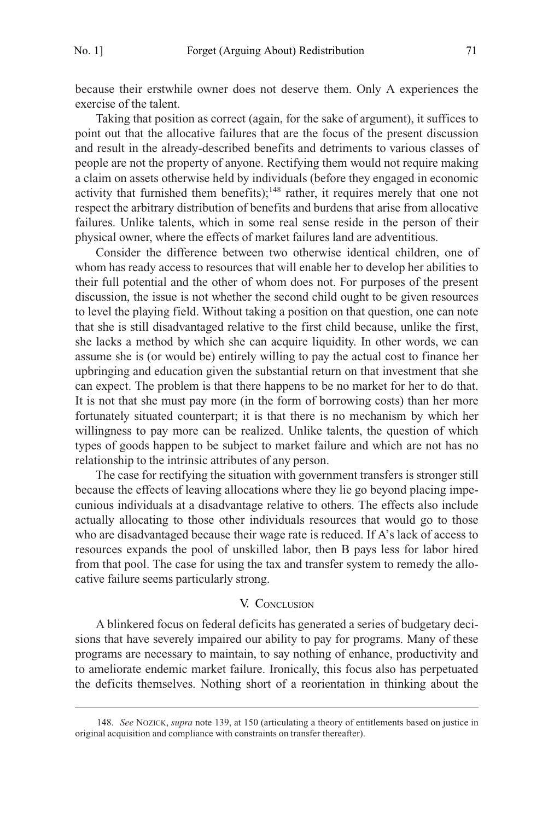<span id="page-30-0"></span>because their erstwhile owner does not deserve them. Only A experiences the exercise of the talent.

Taking that position as correct (again, for the sake of argument), it suffices to point out that the allocative failures that are the focus of the present discussion and result in the already-described benefits and detriments to various classes of people are not the property of anyone. Rectifying them would not require making a claim on assets otherwise held by individuals (before they engaged in economic activity that furnished them benefits);<sup>148</sup> rather, it requires merely that one not respect the arbitrary distribution of benefits and burdens that arise from allocative failures. Unlike talents, which in some real sense reside in the person of their physical owner, where the effects of market failures land are adventitious.

Consider the difference between two otherwise identical children, one of whom has ready access to resources that will enable her to develop her abilities to their full potential and the other of whom does not. For purposes of the present discussion, the issue is not whether the second child ought to be given resources to level the playing field. Without taking a position on that question, one can note that she is still disadvantaged relative to the first child because, unlike the first, she lacks a method by which she can acquire liquidity. In other words, we can assume she is (or would be) entirely willing to pay the actual cost to finance her upbringing and education given the substantial return on that investment that she can expect. The problem is that there happens to be no market for her to do that. It is not that she must pay more (in the form of borrowing costs) than her more fortunately situated counterpart; it is that there is no mechanism by which her willingness to pay more can be realized. Unlike talents, the question of which types of goods happen to be subject to market failure and which are not has no relationship to the intrinsic attributes of any person.

The case for rectifying the situation with government transfers is stronger still because the effects of leaving allocations where they lie go beyond placing impecunious individuals at a disadvantage relative to others. The effects also include actually allocating to those other individuals resources that would go to those who are disadvantaged because their wage rate is reduced. If A's lack of access to resources expands the pool of unskilled labor, then B pays less for labor hired from that pool. The case for using the tax and transfer system to remedy the allocative failure seems particularly strong.

# V. CONCLUSION

A blinkered focus on federal deficits has generated a series of budgetary decisions that have severely impaired our ability to pay for programs. Many of these programs are necessary to maintain, to say nothing of enhance, productivity and to ameliorate endemic market failure. Ironically, this focus also has perpetuated the deficits themselves. Nothing short of a reorientation in thinking about the

<sup>148.</sup> *See* NOZICK, *supra* note 139, at 150 (articulating a theory of entitlements based on justice in original acquisition and compliance with constraints on transfer thereafter).